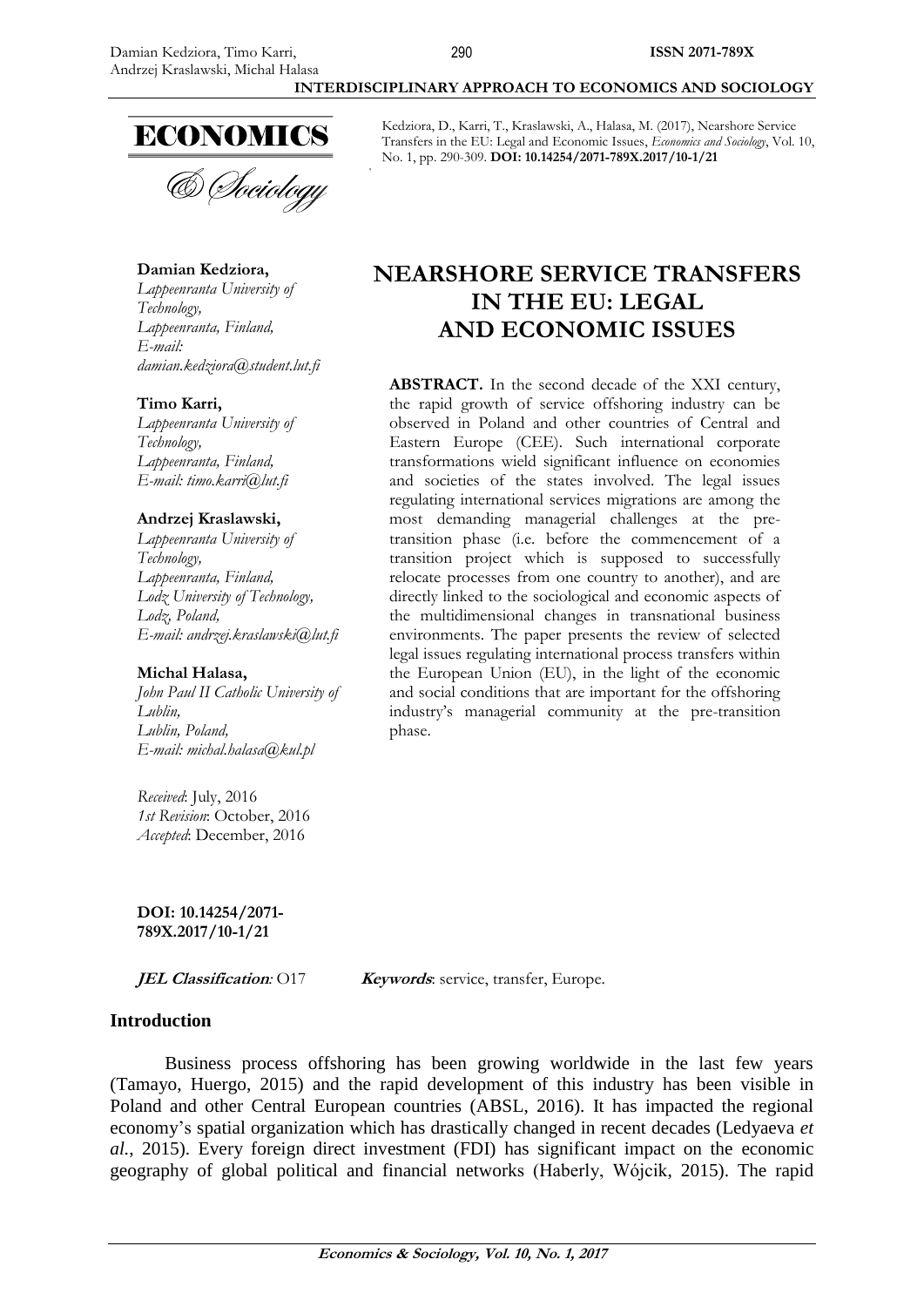

#### **Damian Kedziora,**

*Lappeenranta University of Technology, Lappeenranta, Finland, E-mail: damian.kedziora@student.lut.fi*

#### **Timo Karri,**

*Lappeenranta University of Technology, Lappeenranta, Finland, E-mail: timo.karri@lut.fi*

#### **Andrzej Kraslawski,**

*Lappeenranta University of Technology, Lappeenranta, Finland, Lodz University of Technology, Lodz, Poland, E-mail: andrzej.kraslawski@lut.fi*

#### **Michal Halasa,**

*John Paul II Catholic University of Lublin, Lublin, Poland, E-mail: michal.halasa@kul.pl*

*Received*: July, 2016 *1st Revision*: October, 2016 *Accepted*: December, 2016

#### **DOI: 10.14254/2071- 789X.2017/10-1/21**

**JEL Classification**: O17 **Keywords**: service, transfer, Europe.

#### **Introduction**

Business process offshoring has been growing worldwide in the last few years (Tamayo, Huergo, 2015) and the rapid development of this industry has been visible in Poland and other Central European countries (ABSL, 2016). It has impacted the regional economy's spatial organization which has drastically changed in recent decades (Ledyaeva *et al.*, 2015). Every foreign direct investment (FDI) has significant impact on the economic geography of global political and financial networks (Haberly, Wójcik, 2015). The rapid

Kedziora, D., Karri, T., Kraslawski, A., Halasa, M. (2017), Nearshore Service Transfers in the EU: Legal and Economic Issues, *Economics and Sociology*, Vol. 10, No. 1, pp. 290-309. **DOI: 10.14254/2071-789X.2017/10-1/21**

# **NEARSHORE SERVICE TRANSFERS IN THE EU: LEGAL AND ECONOMIC ISSUES**

**ABSTRACT.** In the second decade of the XXI century, the rapid growth of service offshoring industry can be observed in Poland and other countries of Central and Eastern Europe (CEE). Such international corporate transformations wield significant influence on economies and societies of the states involved. The legal issues regulating international services migrations are among the most demanding managerial challenges at the pretransition phase (i.e. before the commencement of a transition project which is supposed to successfully relocate processes from one country to another), and are directly linked to the sociological and economic aspects of the multidimensional changes in transnational business environments. The paper presents the review of selected legal issues regulating international process transfers within the European Union (EU), in the light of the economic and social conditions that are important for the offshoring industry's managerial community at the pre-transition phase.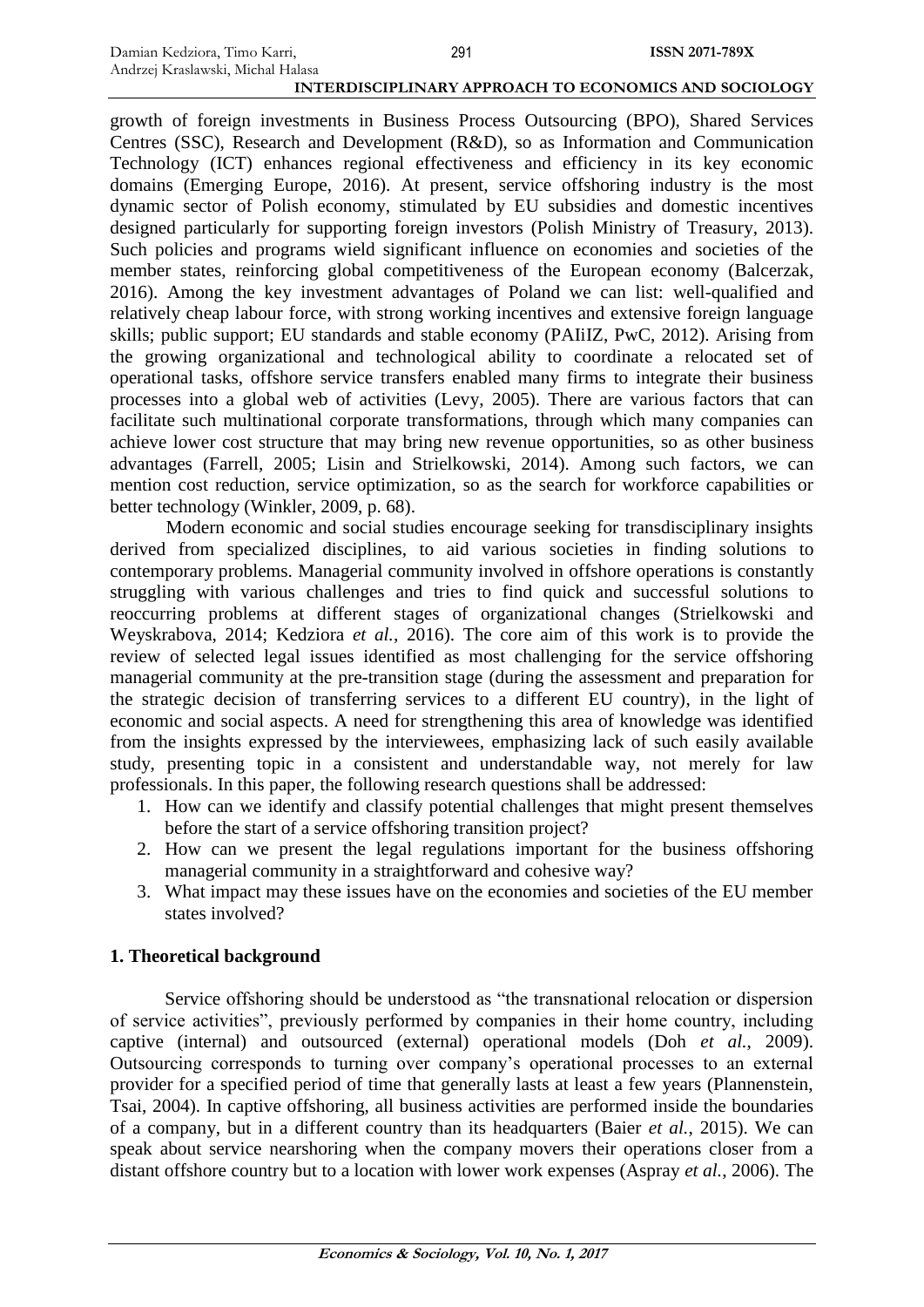growth of foreign investments in Business Process Outsourcing (BPO), Shared Services Centres (SSC), Research and Development (R&D), so as Information and Communication Technology (ICT) enhances regional effectiveness and efficiency in its key economic domains (Emerging Europe, 2016). At present, service offshoring industry is the most dynamic sector of Polish economy, stimulated by EU subsidies and domestic incentives designed particularly for supporting foreign investors (Polish Ministry of Treasury, 2013). Such policies and programs wield significant influence on economies and societies of the member states, reinforcing global competitiveness of the European economy (Balcerzak, 2016). Among the key investment advantages of Poland we can list: well-qualified and relatively cheap labour force, with strong working incentives and extensive foreign language skills; public support; EU standards and stable economy (PAIiIZ, PwC, 2012). Arising from the growing organizational and technological ability to coordinate a relocated set of operational tasks, offshore service transfers enabled many firms to integrate their business processes into a global web of activities (Levy, 2005). There are various factors that can facilitate such multinational corporate transformations, through which many companies can achieve lower cost structure that may bring new revenue opportunities, so as other business advantages (Farrell, 2005; Lisin and Strielkowski, 2014). Among such factors, we can mention cost reduction, service optimization, so as the search for workforce capabilities or better technology (Winkler, 2009, p. 68).

Modern economic and social studies encourage seeking for transdisciplinary insights derived from specialized disciplines, to aid various societies in finding solutions to contemporary problems. Managerial community involved in offshore operations is constantly struggling with various challenges and tries to find quick and successful solutions to reoccurring problems at different stages of organizational changes (Strielkowski and Weyskrabova, 2014; Kedziora *et al.*, 2016). The core aim of this work is to provide the review of selected legal issues identified as most challenging for the service offshoring managerial community at the pre-transition stage (during the assessment and preparation for the strategic decision of transferring services to a different EU country), in the light of economic and social aspects. A need for strengthening this area of knowledge was identified from the insights expressed by the interviewees, emphasizing lack of such easily available study, presenting topic in a consistent and understandable way, not merely for law professionals. In this paper, the following research questions shall be addressed:

- 1. How can we identify and classify potential challenges that might present themselves before the start of a service offshoring transition project?
- 2. How can we present the legal regulations important for the business offshoring managerial community in a straightforward and cohesive way?
- 3. What impact may these issues have on the economies and societies of the EU member states involved?

### **1. Theoretical background**

Service offshoring should be understood as "the transnational relocation or dispersion of service activities", previously performed by companies in their home country, including captive (internal) and outsourced (external) operational models (Doh *et al.*, 2009). Outsourcing corresponds to turning over company's operational processes to an external provider for a specified period of time that generally lasts at least a few years (Plannenstein, Tsai, 2004). In captive offshoring, all business activities are performed inside the boundaries of a company, but in a different country than its headquarters (Baier *et al.*, 2015). We can speak about service nearshoring when the company movers their operations closer from a distant offshore country but to a location with lower work expenses (Aspray *et al.*, 2006). The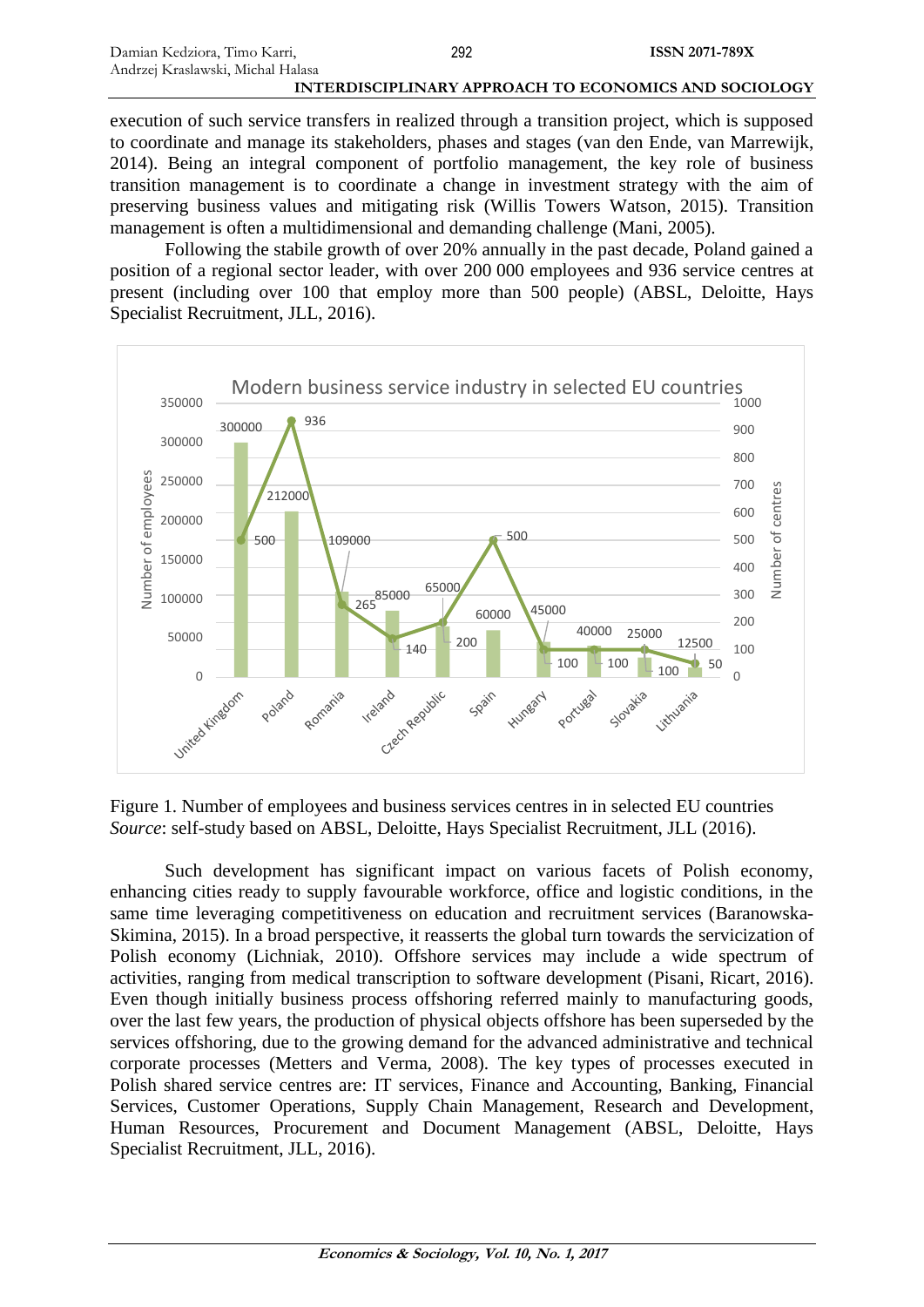execution of such service transfers in realized through a transition project, which is supposed to coordinate and manage its stakeholders, phases and stages (van den Ende, van Marrewijk, 2014). Being an integral component of portfolio management, the key role of business transition management is to coordinate a change in investment strategy with the aim of preserving business values and mitigating risk (Willis Towers Watson, 2015). Transition management is often a multidimensional and demanding challenge (Mani, 2005).

Following the stabile growth of over 20% annually in the past decade, Poland gained a position of a regional sector leader, with over 200 000 employees and 936 service centres at present (including over 100 that employ more than 500 people) (ABSL, Deloitte, Hays Specialist Recruitment, JLL, 2016).



Figure 1. Number of employees and business services centres in in selected EU countries *Source*: self-study based on ABSL, Deloitte, Hays Specialist Recruitment, JLL (2016).

Such development has significant impact on various facets of Polish economy, enhancing cities ready to supply favourable workforce, office and logistic conditions, in the same time leveraging competitiveness on education and recruitment services (Baranowska-Skimina, 2015). In a broad perspective, it reasserts the global turn towards the servicization of Polish economy (Lichniak, 2010). Offshore services may include a wide spectrum of activities, ranging from medical transcription to software development (Pisani, Ricart, 2016). Even though initially business process offshoring referred mainly to manufacturing goods, over the last few years, the production of physical objects offshore has been superseded by the services offshoring, due to the growing demand for the advanced administrative and technical corporate processes (Metters and Verma, 2008). The key types of processes executed in Polish shared service centres are: IT services, Finance and Accounting, Banking, Financial Services, Customer Operations, Supply Chain Management, Research and Development, Human Resources, Procurement and Document Management (ABSL, Deloitte, Hays Specialist Recruitment, JLL, 2016).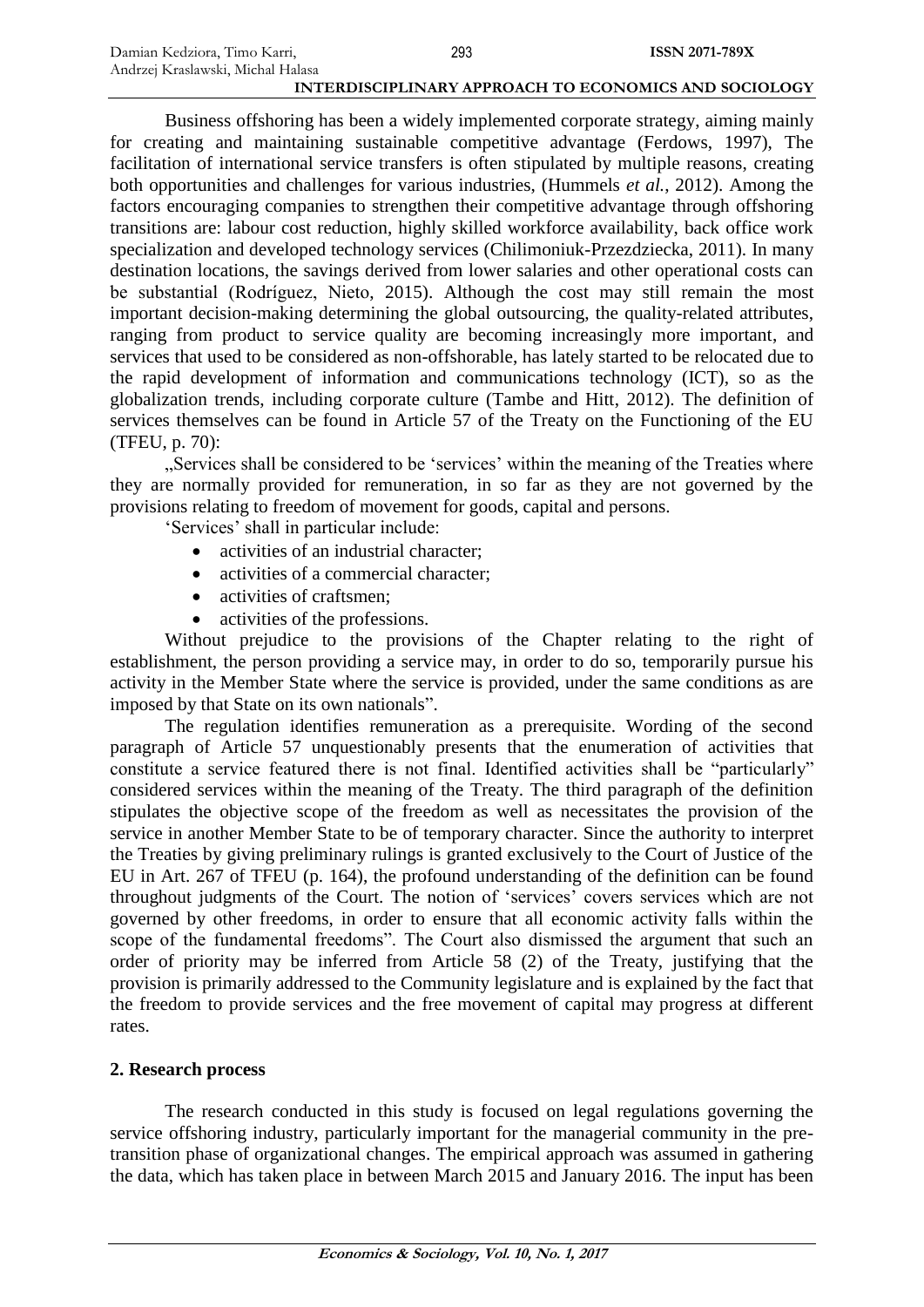Business offshoring has been a widely implemented corporate strategy, aiming mainly for creating and maintaining sustainable competitive advantage (Ferdows, 1997), The facilitation of international service transfers is often stipulated by multiple reasons, creating both opportunities and challenges for various industries, (Hummels *et al.*, 2012). Among the factors encouraging companies to strengthen their competitive advantage through offshoring transitions are: labour cost reduction, highly skilled workforce availability, back office work specialization and developed technology services (Chilimoniuk-Przezdziecka, 2011). In many destination locations, the savings derived from lower salaries and other operational costs can be substantial (Rodríguez, Nieto, 2015). Although the cost may still remain the most important decision-making determining the global outsourcing, the quality-related attributes, ranging from product to service quality are becoming increasingly more important, and services that used to be considered as non-offshorable, has lately started to be relocated due to the rapid development of information and communications technology (ICT), so as the globalization trends, including corporate culture (Tambe and Hitt, 2012). The definition of services themselves can be found in Article 57 of the Treaty on the Functioning of the EU (TFEU, p. 70):

"Services shall be considered to be 'services' within the meaning of the Treaties where they are normally provided for remuneration, in so far as they are not governed by the provisions relating to freedom of movement for goods, capital and persons.

'Services' shall in particular include:

- activities of an industrial character;
- activities of a commercial character;
- activities of craftsmen;
- activities of the professions.

Without prejudice to the provisions of the Chapter relating to the right of establishment, the person providing a service may, in order to do so, temporarily pursue his activity in the Member State where the service is provided, under the same conditions as are imposed by that State on its own nationals".

The regulation identifies remuneration as a prerequisite. Wording of the second paragraph of Article 57 unquestionably presents that the enumeration of activities that constitute a service featured there is not final. Identified activities shall be "particularly" considered services within the meaning of the Treaty. The third paragraph of the definition stipulates the objective scope of the freedom as well as necessitates the provision of the service in another Member State to be of temporary character. Since the authority to interpret the Treaties by giving preliminary rulings is granted exclusively to the Court of Justice of the EU in Art. 267 of TFEU (p. 164), the profound understanding of the definition can be found throughout judgments of the Court. The notion of 'services' covers services which are not governed by other freedoms, in order to ensure that all economic activity falls within the scope of the fundamental freedoms". The Court also dismissed the argument that such an order of priority may be inferred from Article 58 (2) of the Treaty, justifying that the provision is primarily addressed to the Community legislature and is explained by the fact that the freedom to provide services and the free movement of capital may progress at different rates.

# **2. Research process**

The research conducted in this study is focused on legal regulations governing the service offshoring industry, particularly important for the managerial community in the pretransition phase of organizational changes. The empirical approach was assumed in gathering the data, which has taken place in between March 2015 and January 2016. The input has been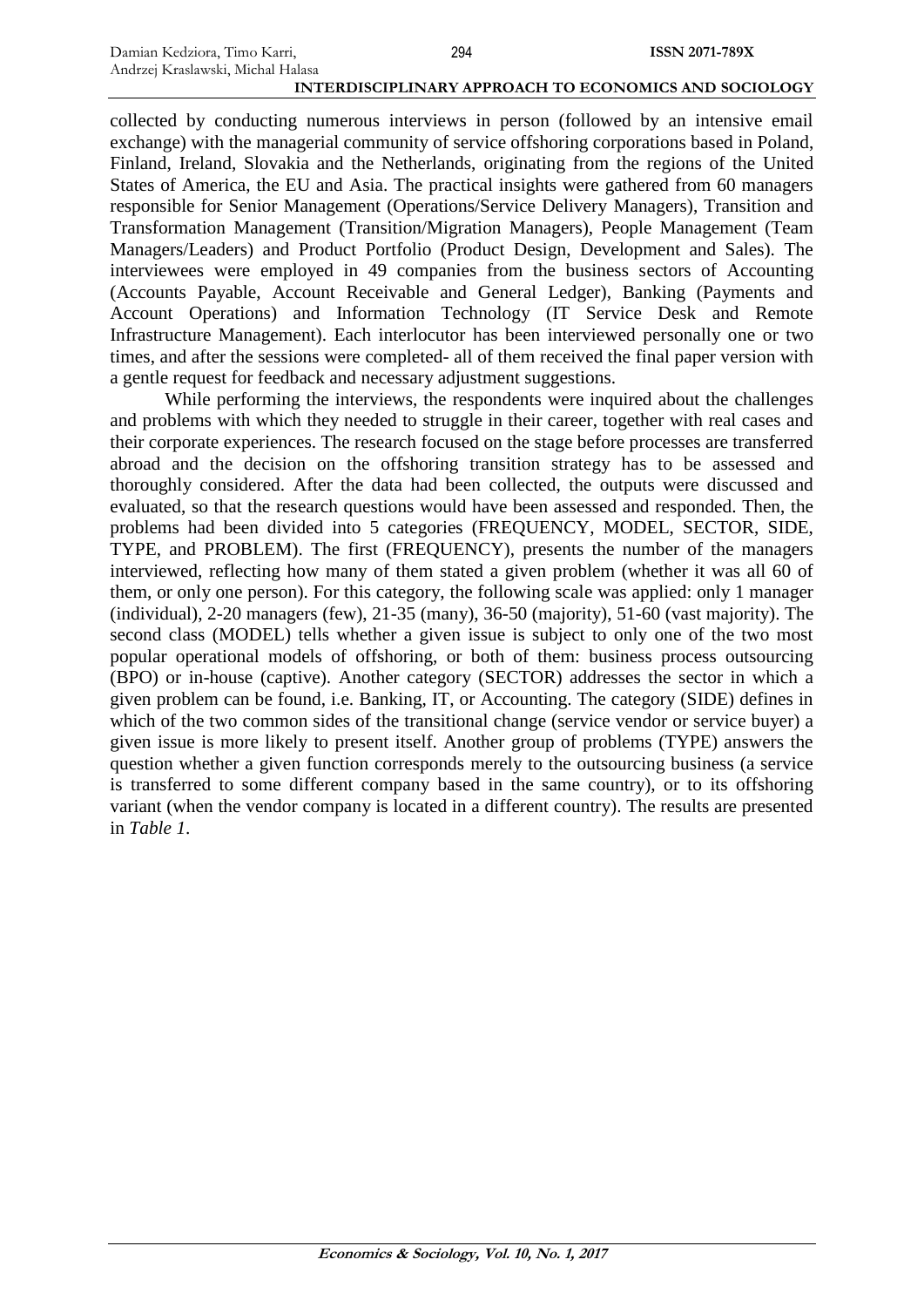collected by conducting numerous interviews in person (followed by an intensive email exchange) with the managerial community of service offshoring corporations based in Poland, Finland, Ireland, Slovakia and the Netherlands, originating from the regions of the United States of America, the EU and Asia. The practical insights were gathered from 60 managers responsible for Senior Management (Operations/Service Delivery Managers), Transition and Transformation Management (Transition/Migration Managers), People Management (Team Managers/Leaders) and Product Portfolio (Product Design, Development and Sales). The interviewees were employed in 49 companies from the business sectors of Accounting (Accounts Payable, Account Receivable and General Ledger), Banking (Payments and Account Operations) and Information Technology (IT Service Desk and Remote Infrastructure Management). Each interlocutor has been interviewed personally one or two times, and after the sessions were completed- all of them received the final paper version with a gentle request for feedback and necessary adjustment suggestions.

While performing the interviews, the respondents were inquired about the challenges and problems with which they needed to struggle in their career, together with real cases and their corporate experiences. The research focused on the stage before processes are transferred abroad and the decision on the offshoring transition strategy has to be assessed and thoroughly considered. After the data had been collected, the outputs were discussed and evaluated, so that the research questions would have been assessed and responded. Then, the problems had been divided into 5 categories (FREQUENCY, MODEL, SECTOR, SIDE, TYPE, and PROBLEM). The first (FREQUENCY), presents the number of the managers interviewed, reflecting how many of them stated a given problem (whether it was all 60 of them, or only one person). For this category, the following scale was applied: only 1 manager (individual), 2-20 managers (few), 21-35 (many), 36-50 (majority), 51-60 (vast majority). The second class (MODEL) tells whether a given issue is subject to only one of the two most popular operational models of offshoring, or both of them: business process outsourcing (BPO) or in-house (captive). Another category (SECTOR) addresses the sector in which a given problem can be found, i.e. Banking, IT, or Accounting. The category (SIDE) defines in which of the two common sides of the transitional change (service vendor or service buyer) a given issue is more likely to present itself. Another group of problems (TYPE) answers the question whether a given function corresponds merely to the outsourcing business (a service is transferred to some different company based in the same country), or to its offshoring variant (when the vendor company is located in a different country). The results are presented in *Table 1*.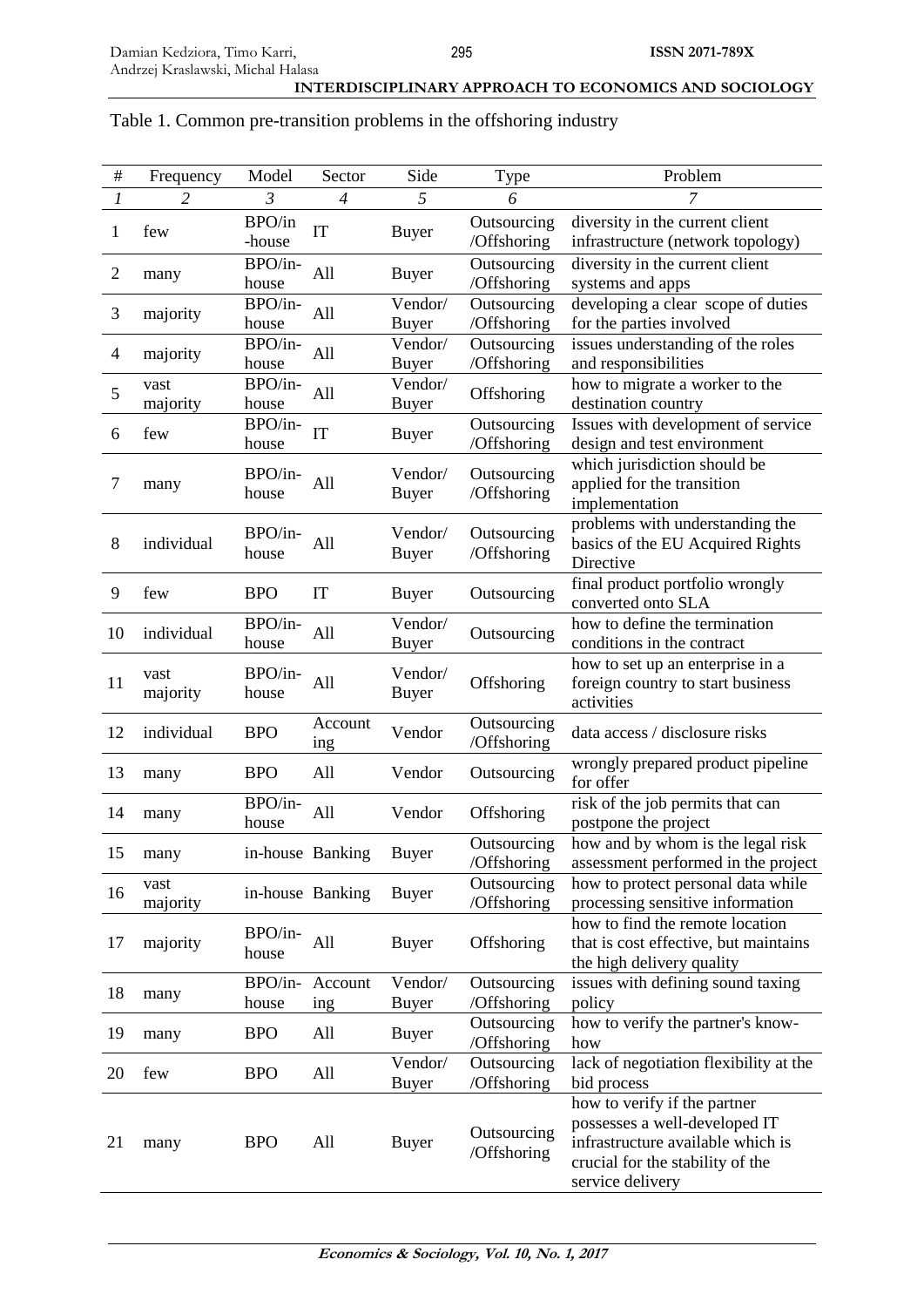| $\#$           | Frequency        | Model              | Sector           | Side                    | Type                       | Problem                                                                                                                                                    |
|----------------|------------------|--------------------|------------------|-------------------------|----------------------------|------------------------------------------------------------------------------------------------------------------------------------------------------------|
| 1              | 2                | 3                  | 4                | 5                       | 6                          | 7                                                                                                                                                          |
| 1              | few              | BPO/in<br>-house   | IT               | <b>Buyer</b>            | Outsourcing<br>/Offshoring | diversity in the current client<br>infrastructure (network topology)                                                                                       |
| $\overline{2}$ | many             | BPO/in-<br>house   | All              | <b>Buyer</b>            | Outsourcing<br>/Offshoring | diversity in the current client<br>systems and apps                                                                                                        |
| 3              | majority         | BPO/in-<br>house   | All              | Vendor/<br><b>Buyer</b> | Outsourcing<br>/Offshoring | developing a clear scope of duties<br>for the parties involved                                                                                             |
| $\overline{4}$ | majority         | BPO/in-<br>house   | All              | Vendor/<br><b>Buyer</b> | Outsourcing<br>/Offshoring | issues understanding of the roles<br>and responsibilities                                                                                                  |
| 5              | vast<br>majority | BPO/in-<br>house   | All              | Vendor/<br><b>Buyer</b> | Offshoring                 | how to migrate a worker to the<br>destination country                                                                                                      |
| 6              | few              | BPO/in-<br>house   | IT               | <b>Buyer</b>            | Outsourcing<br>/Offshoring | Issues with development of service<br>design and test environment                                                                                          |
| $\tau$         | many             | $BPO/in-$<br>house | All              | Vendor/<br><b>Buyer</b> | Outsourcing<br>/Offshoring | which jurisdiction should be<br>applied for the transition<br>implementation                                                                               |
| 8              | individual       | BPO/in-<br>house   | All              | Vendor/<br><b>Buyer</b> | Outsourcing<br>/Offshoring | problems with understanding the<br>basics of the EU Acquired Rights<br>Directive                                                                           |
| 9              | few              | <b>BPO</b>         | IT               | <b>Buyer</b>            | Outsourcing                | final product portfolio wrongly<br>converted onto SLA                                                                                                      |
| 10             | individual       | BPO/in-<br>house   | All              | Vendor/<br>Buyer        | Outsourcing                | how to define the termination<br>conditions in the contract                                                                                                |
| 11             | vast<br>majority | BPO/in-<br>house   | All              | Vendor/<br><b>Buyer</b> | Offshoring                 | how to set up an enterprise in a<br>foreign country to start business<br>activities                                                                        |
| 12             | individual       | <b>BPO</b>         | Account<br>ing   | Vendor                  | Outsourcing<br>/Offshoring | data access / disclosure risks                                                                                                                             |
| 13             | many             | <b>BPO</b>         | All              | Vendor                  | Outsourcing                | wrongly prepared product pipeline<br>for offer                                                                                                             |
| 14             | many             | BPO/in-<br>house   | All              | Vendor                  | Offshoring                 | risk of the job permits that can<br>postpone the project                                                                                                   |
| 15             | many             |                    | in-house Banking | Buyer                   | Outsourcing<br>/Offshoring | how and by whom is the legal risk<br>assessment performed in the project                                                                                   |
| 16             | vast<br>majority |                    | in-house Banking | Buyer                   | Outsourcing<br>/Offshoring | how to protect personal data while<br>processing sensitive information                                                                                     |
| 17             | majority         | BPO/in-<br>house   | All              | <b>Buyer</b>            | Offshoring                 | how to find the remote location<br>that is cost effective, but maintains<br>the high delivery quality                                                      |
| 18             | many             | BPO/in-<br>house   | Account<br>ing   | Vendor/<br><b>Buyer</b> | Outsourcing<br>/Offshoring | issues with defining sound taxing<br>policy                                                                                                                |
| 19             | many             | <b>BPO</b>         | All              | Buyer                   | Outsourcing<br>/Offshoring | how to verify the partner's know-<br>how                                                                                                                   |
| 20             | few              | <b>BPO</b>         | All              | Vendor/<br><b>Buyer</b> | Outsourcing<br>/Offshoring | lack of negotiation flexibility at the<br>bid process                                                                                                      |
| 21             | many             | <b>BPO</b>         | All              | Buyer                   | Outsourcing<br>/Offshoring | how to verify if the partner<br>possesses a well-developed IT<br>infrastructure available which is<br>crucial for the stability of the<br>service delivery |

# Table 1. Common pre-transition problems in the offshoring industry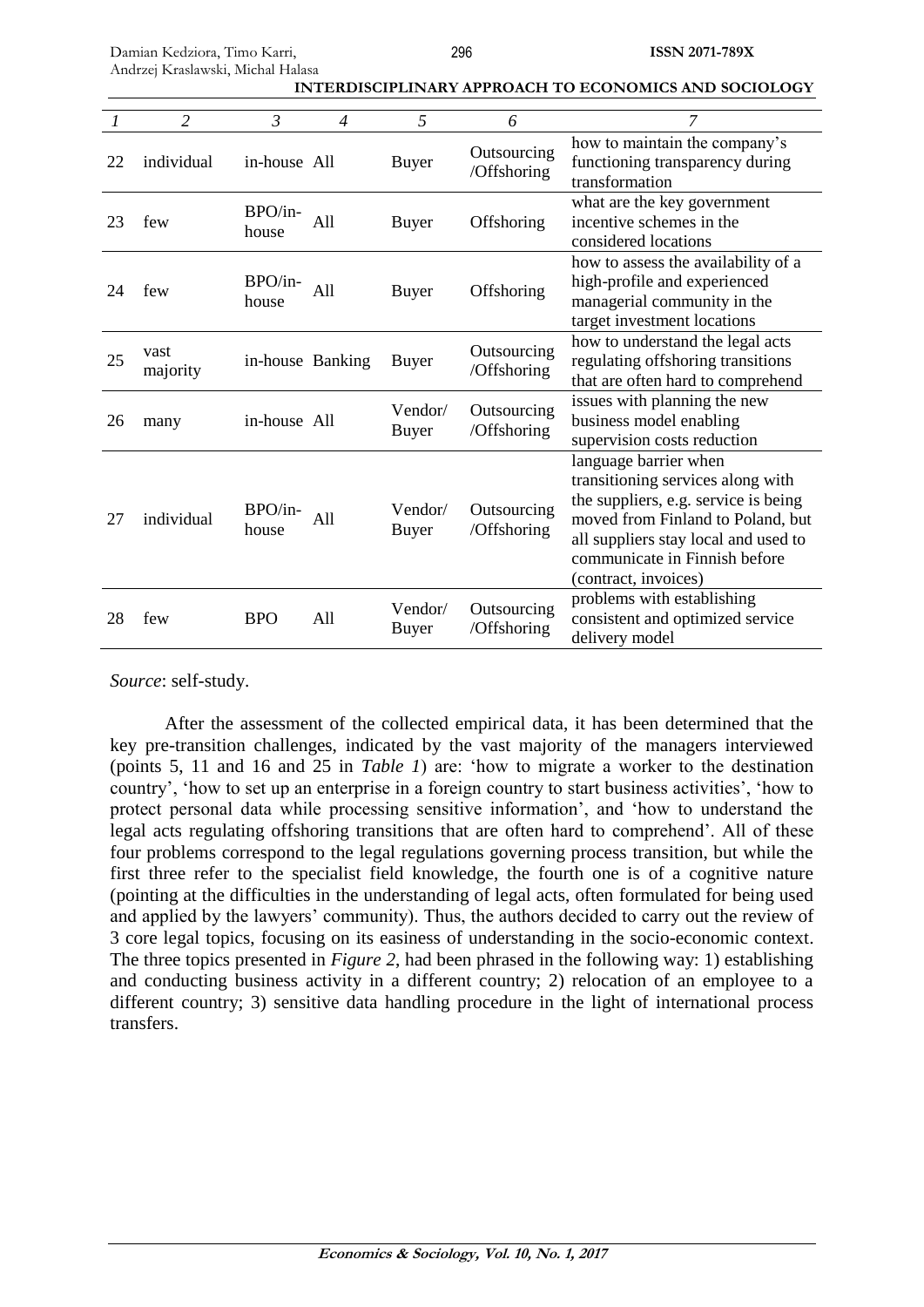Damian Kedziora, Timo Karri, Andrzej Kraslawski, Michal Halasa

**INTERDISCIPLINARY APPROACH TO ECONOMICS AND SOCIOLOGY**

| 1  | $\overline{2}$   | 3                  | $\overline{4}$   | 5                | 6                          | 7                                                                                                                                                                                                                                        |
|----|------------------|--------------------|------------------|------------------|----------------------------|------------------------------------------------------------------------------------------------------------------------------------------------------------------------------------------------------------------------------------------|
| 22 | individual       | in-house All       |                  | <b>Buyer</b>     | Outsourcing<br>/Offshoring | how to maintain the company's<br>functioning transparency during<br>transformation                                                                                                                                                       |
| 23 | few              | BPO/in-<br>house   | All              | Buyer            | Offshoring                 | what are the key government<br>incentive schemes in the<br>considered locations                                                                                                                                                          |
| 24 | few              | $BPO/in-$<br>house | All              | Buyer            | Offshoring                 | how to assess the availability of a<br>high-profile and experienced<br>managerial community in the<br>target investment locations                                                                                                        |
| 25 | vast<br>majority |                    | in-house Banking | Buyer            | Outsourcing<br>/Offshoring | how to understand the legal acts<br>regulating offshoring transitions<br>that are often hard to comprehend                                                                                                                               |
| 26 | many             | in-house All       |                  | Vendor/<br>Buyer | Outsourcing<br>/Offshoring | issues with planning the new<br>business model enabling<br>supervision costs reduction                                                                                                                                                   |
| 27 | individual       | BPO/in-<br>house   | A11              | Vendor/<br>Buyer | Outsourcing<br>/Offshoring | language barrier when<br>transitioning services along with<br>the suppliers, e.g. service is being<br>moved from Finland to Poland, but<br>all suppliers stay local and used to<br>communicate in Finnish before<br>(contract, invoices) |
| 28 | few              | <b>BPO</b>         | A11              | Vendor/<br>Buyer | Outsourcing<br>/Offshoring | problems with establishing<br>consistent and optimized service<br>delivery model                                                                                                                                                         |

*Source*: self-study.

After the assessment of the collected empirical data, it has been determined that the key pre-transition challenges, indicated by the vast majority of the managers interviewed (points 5, 11 and 16 and 25 in *Table 1*) are: 'how to migrate a worker to the destination country', 'how to set up an enterprise in a foreign country to start business activities', 'how to protect personal data while processing sensitive information', and 'how to understand the legal acts regulating offshoring transitions that are often hard to comprehend'. All of these four problems correspond to the legal regulations governing process transition, but while the first three refer to the specialist field knowledge, the fourth one is of a cognitive nature (pointing at the difficulties in the understanding of legal acts, often formulated for being used and applied by the lawyers' community). Thus, the authors decided to carry out the review of 3 core legal topics, focusing on its easiness of understanding in the socio-economic context. The three topics presented in *Figure 2*, had been phrased in the following way: 1) establishing and conducting business activity in a different country; 2) relocation of an employee to a different country; 3) sensitive data handling procedure in the light of international process transfers.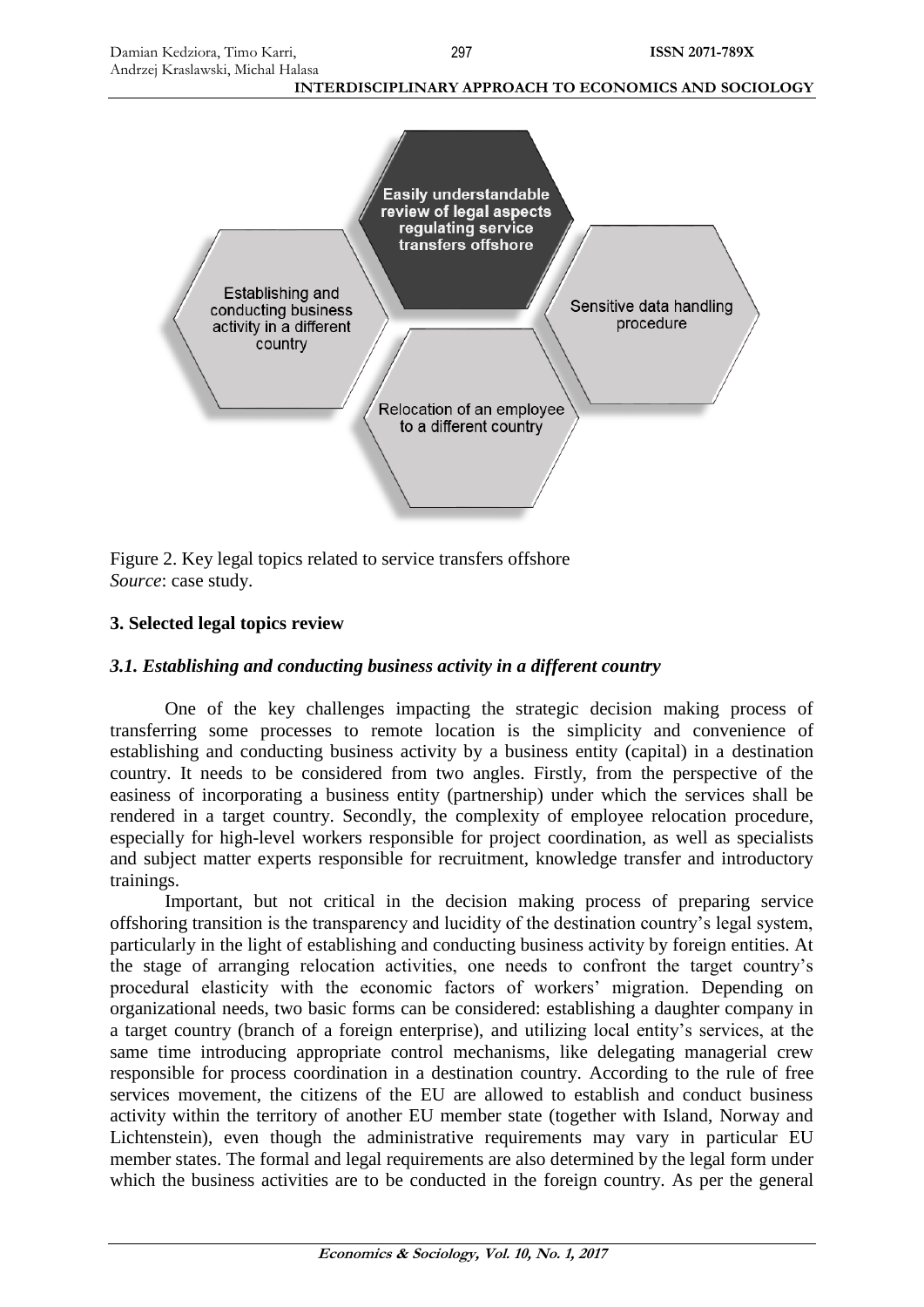

Figure 2. Key legal topics related to service transfers offshore *Source*: case study.

# **3. Selected legal topics review**

# *3.1. Establishing and conducting business activity in a different country*

One of the key challenges impacting the strategic decision making process of transferring some processes to remote location is the simplicity and convenience of establishing and conducting business activity by a business entity (capital) in a destination country. It needs to be considered from two angles. Firstly, from the perspective of the easiness of incorporating a business entity (partnership) under which the services shall be rendered in a target country. Secondly, the complexity of employee relocation procedure, especially for high-level workers responsible for project coordination, as well as specialists and subject matter experts responsible for recruitment, knowledge transfer and introductory trainings.

Important, but not critical in the decision making process of preparing service offshoring transition is the transparency and lucidity of the destination country's legal system, particularly in the light of establishing and conducting business activity by foreign entities. At the stage of arranging relocation activities, one needs to confront the target country's procedural elasticity with the economic factors of workers' migration. Depending on organizational needs, two basic forms can be considered: establishing a daughter company in a target country (branch of a foreign enterprise), and utilizing local entity's services, at the same time introducing appropriate control mechanisms, like delegating managerial crew responsible for process coordination in a destination country. According to the rule of free services movement, the citizens of the EU are allowed to establish and conduct business activity within the territory of another EU member state (together with Island, Norway and Lichtenstein), even though the administrative requirements may vary in particular EU member states. The formal and legal requirements are also determined by the legal form under which the business activities are to be conducted in the foreign country. As per the general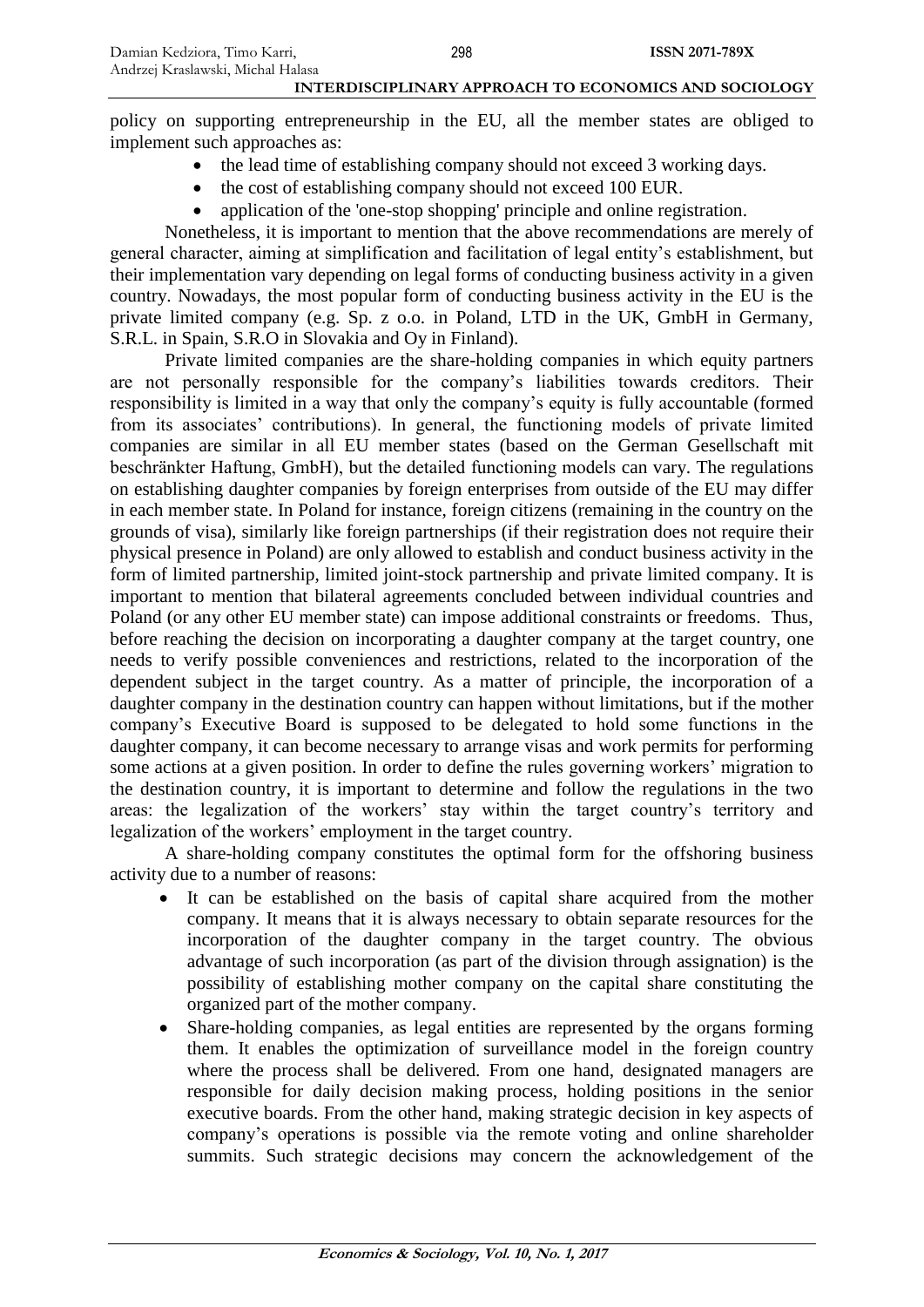policy on supporting entrepreneurship in the EU, all the member states are obliged to implement such approaches as:

- the lead time of establishing company should not exceed 3 working days.
- the cost of establishing company should not exceed 100 EUR.
- application of the 'one-stop shopping' principle and online registration.

Nonetheless, it is important to mention that the above recommendations are merely of general character, aiming at simplification and facilitation of legal entity's establishment, but their implementation vary depending on legal forms of conducting business activity in a given country. Nowadays, the most popular form of conducting business activity in the EU is the private limited company (e.g. Sp. z o.o. in Poland, LTD in the UK, GmbH in Germany, S.R.L. in Spain, S.R.O in Slovakia and Oy in Finland).

Private limited companies are the share-holding companies in which equity partners are not personally responsible for the company's liabilities towards creditors. Their responsibility is limited in a way that only the company's equity is fully accountable (formed from its associates' contributions). In general, the functioning models of private limited companies are similar in all EU member states (based on the German Gesellschaft mit beschränkter Haftung, GmbH), but the detailed functioning models can vary. The regulations on establishing daughter companies by foreign enterprises from outside of the EU may differ in each member state. In Poland for instance, foreign citizens (remaining in the country on the grounds of visa), similarly like foreign partnerships (if their registration does not require their physical presence in Poland) are only allowed to establish and conduct business activity in the form of limited partnership, limited joint-stock partnership and private limited company. It is important to mention that bilateral agreements concluded between individual countries and Poland (or any other EU member state) can impose additional constraints or freedoms. Thus, before reaching the decision on incorporating a daughter company at the target country, one needs to verify possible conveniences and restrictions, related to the incorporation of the dependent subject in the target country. As a matter of principle, the incorporation of a daughter company in the destination country can happen without limitations, but if the mother company's Executive Board is supposed to be delegated to hold some functions in the daughter company, it can become necessary to arrange visas and work permits for performing some actions at a given position. In order to define the rules governing workers' migration to the destination country, it is important to determine and follow the regulations in the two areas: the legalization of the workers' stay within the target country's territory and legalization of the workers' employment in the target country.

A share-holding company constitutes the optimal form for the offshoring business activity due to a number of reasons:

- It can be established on the basis of capital share acquired from the mother company. It means that it is always necessary to obtain separate resources for the incorporation of the daughter company in the target country. The obvious advantage of such incorporation (as part of the division through assignation) is the possibility of establishing mother company on the capital share constituting the organized part of the mother company.
- Share-holding companies, as legal entities are represented by the organs forming them. It enables the optimization of surveillance model in the foreign country where the process shall be delivered. From one hand, designated managers are responsible for daily decision making process, holding positions in the senior executive boards. From the other hand, making strategic decision in key aspects of company's operations is possible via the remote voting and online shareholder summits. Such strategic decisions may concern the acknowledgement of the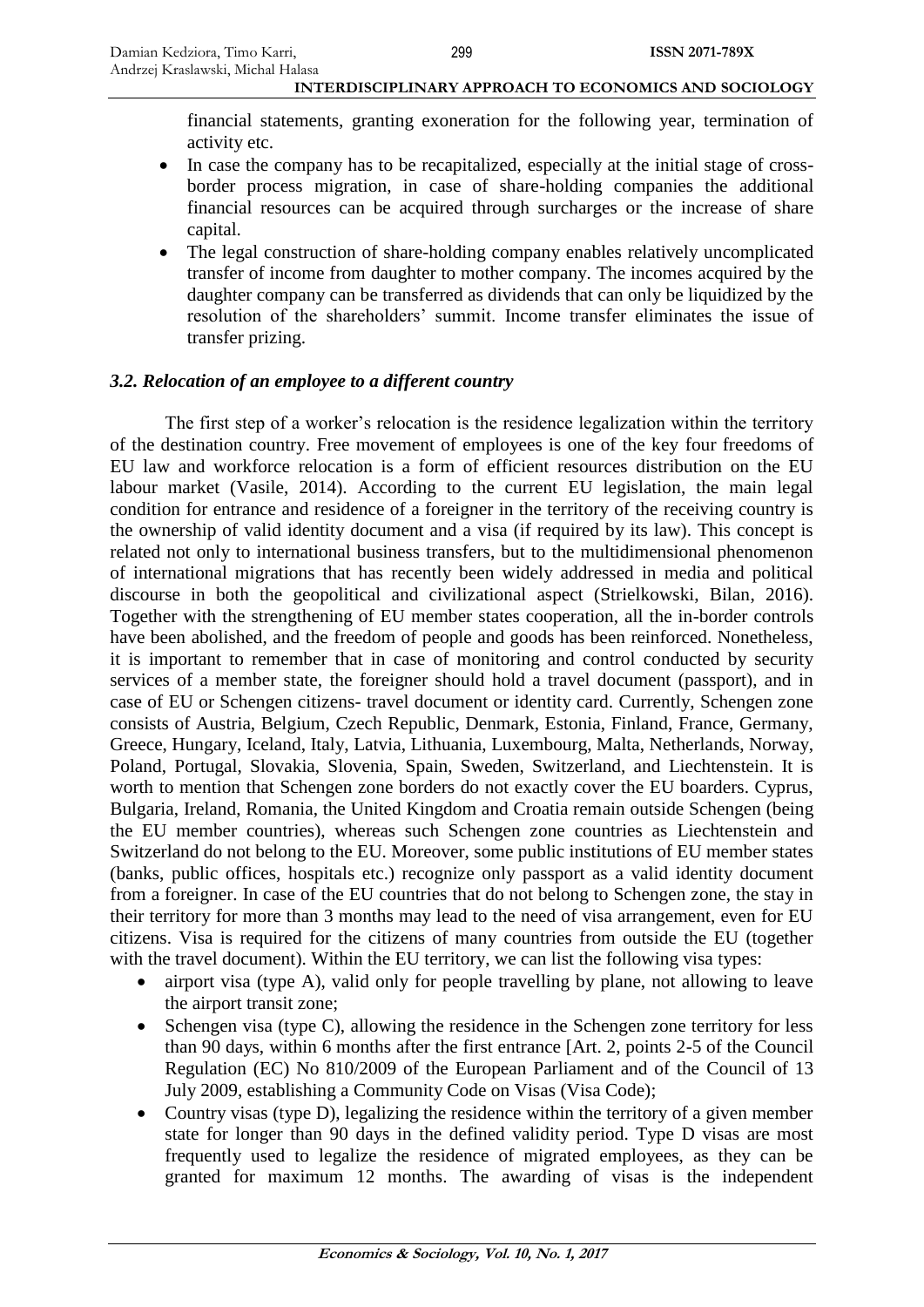financial statements, granting exoneration for the following year, termination of activity etc.

- In case the company has to be recapitalized, especially at the initial stage of crossborder process migration, in case of share-holding companies the additional financial resources can be acquired through surcharges or the increase of share capital.
- The legal construction of share-holding company enables relatively uncomplicated transfer of income from daughter to mother company. The incomes acquired by the daughter company can be transferred as dividends that can only be liquidized by the resolution of the shareholders' summit. Income transfer eliminates the issue of transfer prizing.

### *3.2. Relocation of an employee to a different country*

The first step of a worker's relocation is the residence legalization within the territory of the destination country. Free movement of employees is one of the key four freedoms of EU law and workforce relocation is a form of efficient resources distribution on the EU labour market (Vasile, 2014). According to the current EU legislation, the main legal condition for entrance and residence of a foreigner in the territory of the receiving country is the ownership of valid identity document and a visa (if required by its law). This concept is related not only to international business transfers, but to the multidimensional phenomenon of international migrations that has recently been widely addressed in media and political discourse in both the geopolitical and civilizational aspect (Strielkowski, Bilan, 2016). Together with the strengthening of EU member states cooperation, all the in-border controls have been abolished, and the freedom of people and goods has been reinforced. Nonetheless, it is important to remember that in case of monitoring and control conducted by security services of a member state, the foreigner should hold a travel document (passport), and in case of EU or Schengen citizens- travel document or identity card. Currently, Schengen zone consists of Austria, Belgium, Czech Republic, Denmark, Estonia, Finland, France, Germany, Greece, Hungary, Iceland, Italy, Latvia, Lithuania, Luxembourg, Malta, Netherlands, Norway, Poland, Portugal, Slovakia, Slovenia, Spain, Sweden, Switzerland, and Liechtenstein. It is worth to mention that Schengen zone borders do not exactly cover the EU boarders. Cyprus, Bulgaria, Ireland, Romania, the United Kingdom and Croatia remain outside Schengen (being the EU member countries), whereas such Schengen zone countries as Liechtenstein and Switzerland do not belong to the EU. Moreover, some public institutions of EU member states (banks, public offices, hospitals etc.) recognize only passport as a valid identity document from a foreigner. In case of the EU countries that do not belong to Schengen zone, the stay in their territory for more than 3 months may lead to the need of visa arrangement, even for EU citizens. Visa is required for the citizens of many countries from outside the EU (together with the travel document). Within the EU territory, we can list the following visa types:

- airport visa (type A), valid only for people travelling by plane, not allowing to leave the airport transit zone;
- Schengen visa (type C), allowing the residence in the Schengen zone territory for less than 90 days, within 6 months after the first entrance [Art. 2, points 2-5 of the Council Regulation (EC) No 810/2009 of the European Parliament and of the Council of 13 July 2009, establishing a Community Code on Visas (Visa Code);
- Country visas (type D), legalizing the residence within the territory of a given member state for longer than 90 days in the defined validity period. Type D visas are most frequently used to legalize the residence of migrated employees, as they can be granted for maximum 12 months. The awarding of visas is the independent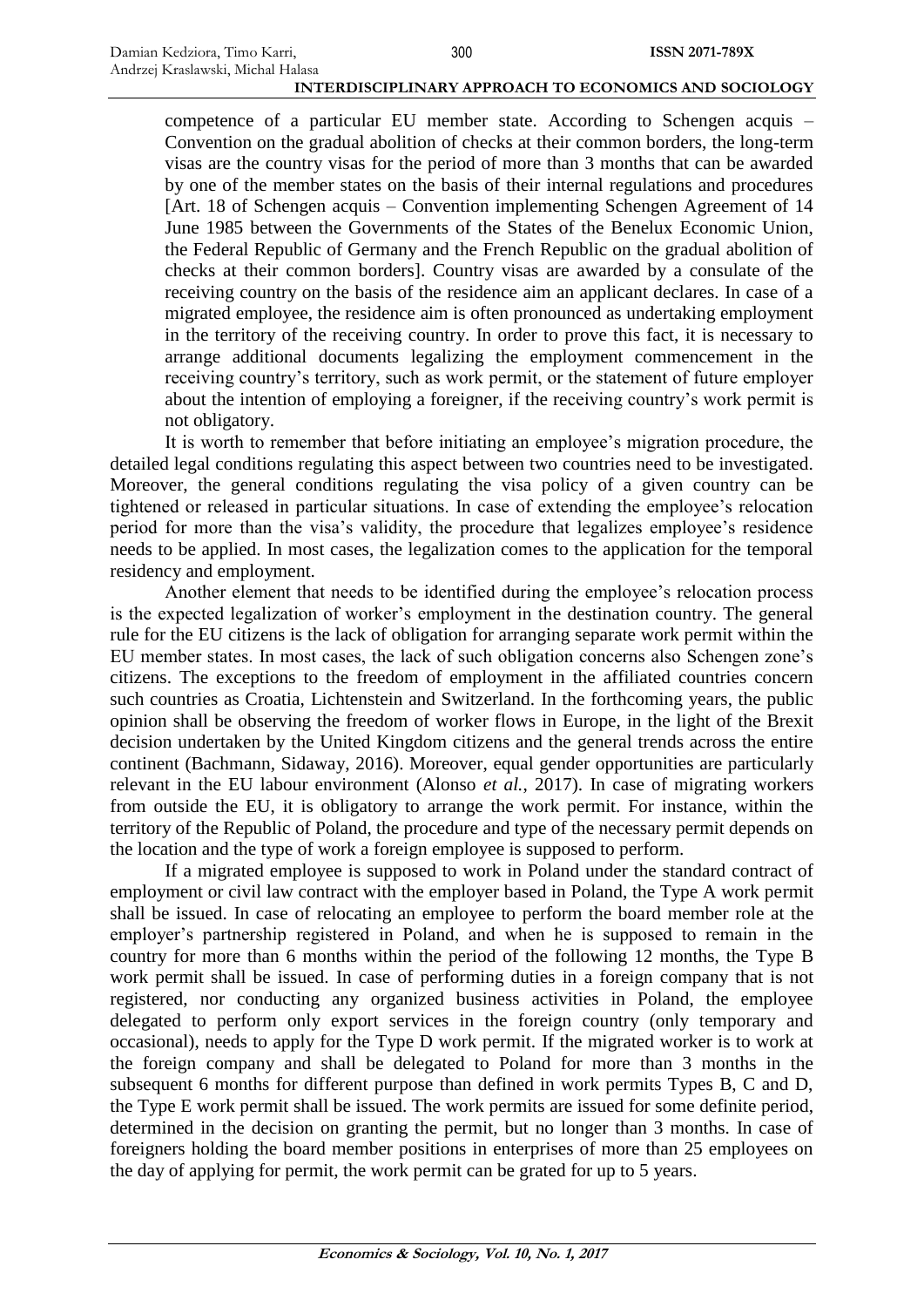competence of a particular EU member state. According to Schengen acquis – Convention on the gradual abolition of checks at their common borders, the long-term visas are the country visas for the period of more than 3 months that can be awarded by one of the member states on the basis of their internal regulations and procedures [Art. 18 of Schengen acquis – Convention implementing Schengen Agreement of 14 June 1985 between the Governments of the States of the Benelux Economic Union, the Federal Republic of Germany and the French Republic on the gradual abolition of checks at their common borders]. Country visas are awarded by a consulate of the receiving country on the basis of the residence aim an applicant declares. In case of a migrated employee, the residence aim is often pronounced as undertaking employment in the territory of the receiving country. In order to prove this fact, it is necessary to arrange additional documents legalizing the employment commencement in the receiving country's territory, such as work permit, or the statement of future employer about the intention of employing a foreigner, if the receiving country's work permit is not obligatory.

It is worth to remember that before initiating an employee's migration procedure, the detailed legal conditions regulating this aspect between two countries need to be investigated. Moreover, the general conditions regulating the visa policy of a given country can be tightened or released in particular situations. In case of extending the employee's relocation period for more than the visa's validity, the procedure that legalizes employee's residence needs to be applied. In most cases, the legalization comes to the application for the temporal residency and employment.

Another element that needs to be identified during the employee's relocation process is the expected legalization of worker's employment in the destination country. The general rule for the EU citizens is the lack of obligation for arranging separate work permit within the EU member states. In most cases, the lack of such obligation concerns also Schengen zone's citizens. The exceptions to the freedom of employment in the affiliated countries concern such countries as Croatia, Lichtenstein and Switzerland. In the forthcoming years, the public opinion shall be observing the freedom of worker flows in Europe, in the light of the Brexit decision undertaken by the United Kingdom citizens and the general trends across the entire continent (Bachmann, Sidaway, 2016). Moreover, equal gender opportunities are particularly relevant in the EU labour environment (Alonso *et al.*, 2017). In case of migrating workers from outside the EU, it is obligatory to arrange the work permit. For instance, within the territory of the Republic of Poland, the procedure and type of the necessary permit depends on the location and the type of work a foreign employee is supposed to perform.

If a migrated employee is supposed to work in Poland under the standard contract of employment or civil law contract with the employer based in Poland, the Type A work permit shall be issued. In case of relocating an employee to perform the board member role at the employer's partnership registered in Poland, and when he is supposed to remain in the country for more than 6 months within the period of the following 12 months, the Type B work permit shall be issued. In case of performing duties in a foreign company that is not registered, nor conducting any organized business activities in Poland, the employee delegated to perform only export services in the foreign country (only temporary and occasional), needs to apply for the Type D work permit. If the migrated worker is to work at the foreign company and shall be delegated to Poland for more than 3 months in the subsequent 6 months for different purpose than defined in work permits Types B, C and D, the Type E work permit shall be issued. The work permits are issued for some definite period, determined in the decision on granting the permit, but no longer than 3 months. In case of foreigners holding the board member positions in enterprises of more than 25 employees on the day of applying for permit, the work permit can be grated for up to 5 years.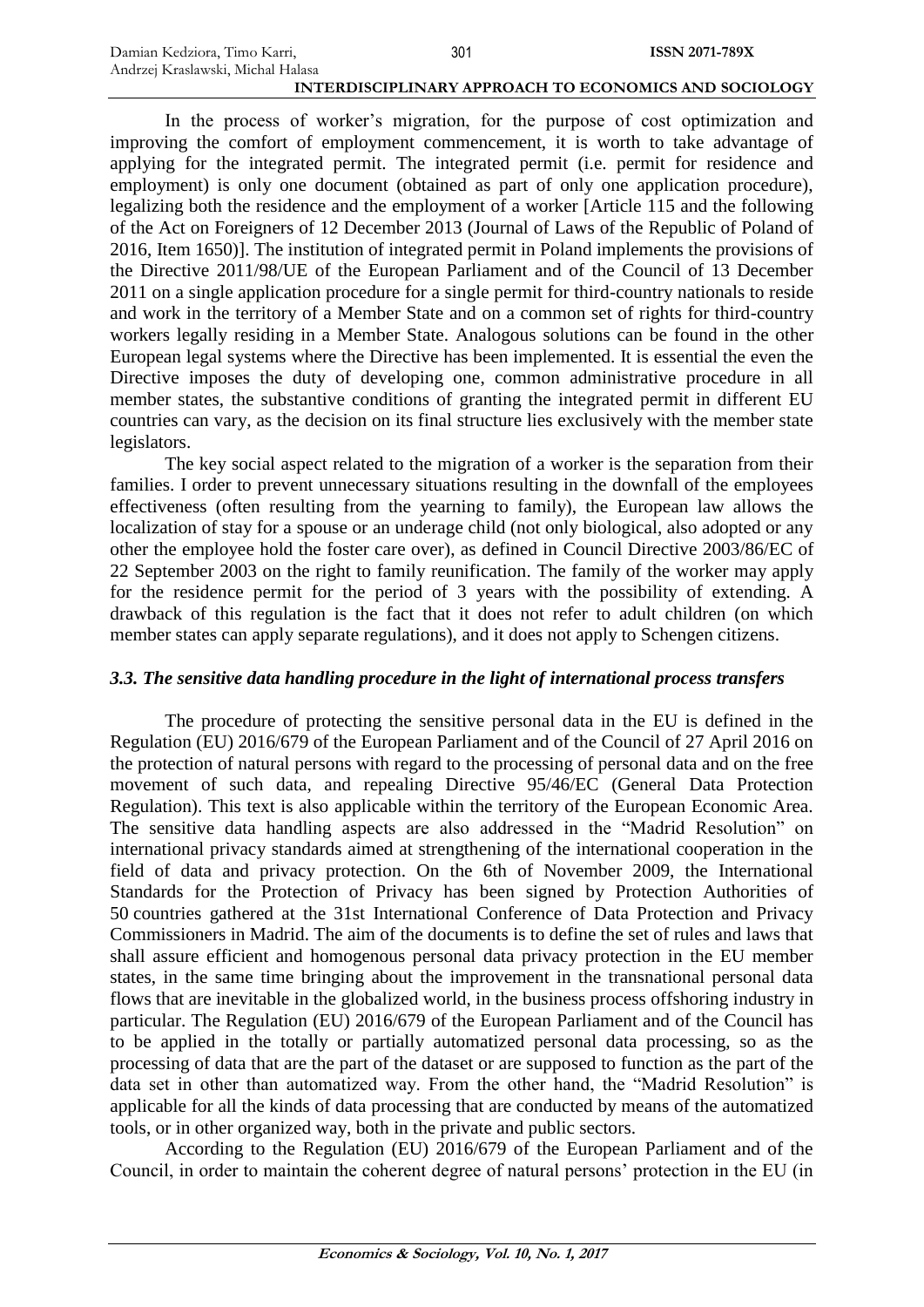In the process of worker's migration, for the purpose of cost optimization and improving the comfort of employment commencement, it is worth to take advantage of applying for the integrated permit. The integrated permit (i.e. permit for residence and employment) is only one document (obtained as part of only one application procedure), legalizing both the residence and the employment of a worker [Article 115 and the following of the Act on Foreigners of 12 December 2013 (Journal of Laws of the Republic of Poland of 2016, Item 1650)]. The institution of integrated permit in Poland implements the provisions of the Directive 2011/98/UE of the European Parliament and of the Council of 13 December 2011 on a single application procedure for a single permit for third-country nationals to reside and work in the territory of a Member State and on a common set of rights for third-country workers legally residing in a Member State. Analogous solutions can be found in the other European legal systems where the Directive has been implemented. It is essential the even the Directive imposes the duty of developing one, common administrative procedure in all member states, the substantive conditions of granting the integrated permit in different EU countries can vary, as the decision on its final structure lies exclusively with the member state legislators.

The key social aspect related to the migration of a worker is the separation from their families. I order to prevent unnecessary situations resulting in the downfall of the employees effectiveness (often resulting from the yearning to family), the European law allows the localization of stay for a spouse or an underage child (not only biological, also adopted or any other the employee hold the foster care over), as defined in Council Directive 2003/86/EC of 22 September 2003 on the right to family reunification. The family of the worker may apply for the residence permit for the period of 3 years with the possibility of extending. A drawback of this regulation is the fact that it does not refer to adult children (on which member states can apply separate regulations), and it does not apply to Schengen citizens.

# *3.3. The sensitive data handling procedure in the light of international process transfers*

The procedure of protecting the sensitive personal data in the EU is defined in the Regulation (EU) 2016/679 of the European Parliament and of the Council of 27 April 2016 on the protection of natural persons with regard to the processing of personal data and on the free movement of such data, and repealing Directive 95/46/EC (General Data Protection Regulation). This text is also applicable within the territory of the European Economic Area. The sensitive data handling aspects are also addressed in the "Madrid Resolution" on international privacy standards aimed at strengthening of the international cooperation in the field of data and privacy protection. On the 6th of November 2009, the International Standards for the Protection of Privacy has been signed by Protection Authorities of 50 countries gathered at the 31st International Conference of Data Protection and Privacy Commissioners in Madrid. The aim of the documents is to define the set of rules and laws that shall assure efficient and homogenous personal data privacy protection in the EU member states, in the same time bringing about the improvement in the transnational personal data flows that are inevitable in the globalized world, in the business process offshoring industry in particular. The Regulation (EU) 2016/679 of the European Parliament and of the Council has to be applied in the totally or partially automatized personal data processing, so as the processing of data that are the part of the dataset or are supposed to function as the part of the data set in other than automatized way. From the other hand, the "Madrid Resolution" is applicable for all the kinds of data processing that are conducted by means of the automatized tools, or in other organized way, both in the private and public sectors.

According to the Regulation (EU) 2016/679 of the European Parliament and of the Council, in order to maintain the coherent degree of natural persons' protection in the EU (in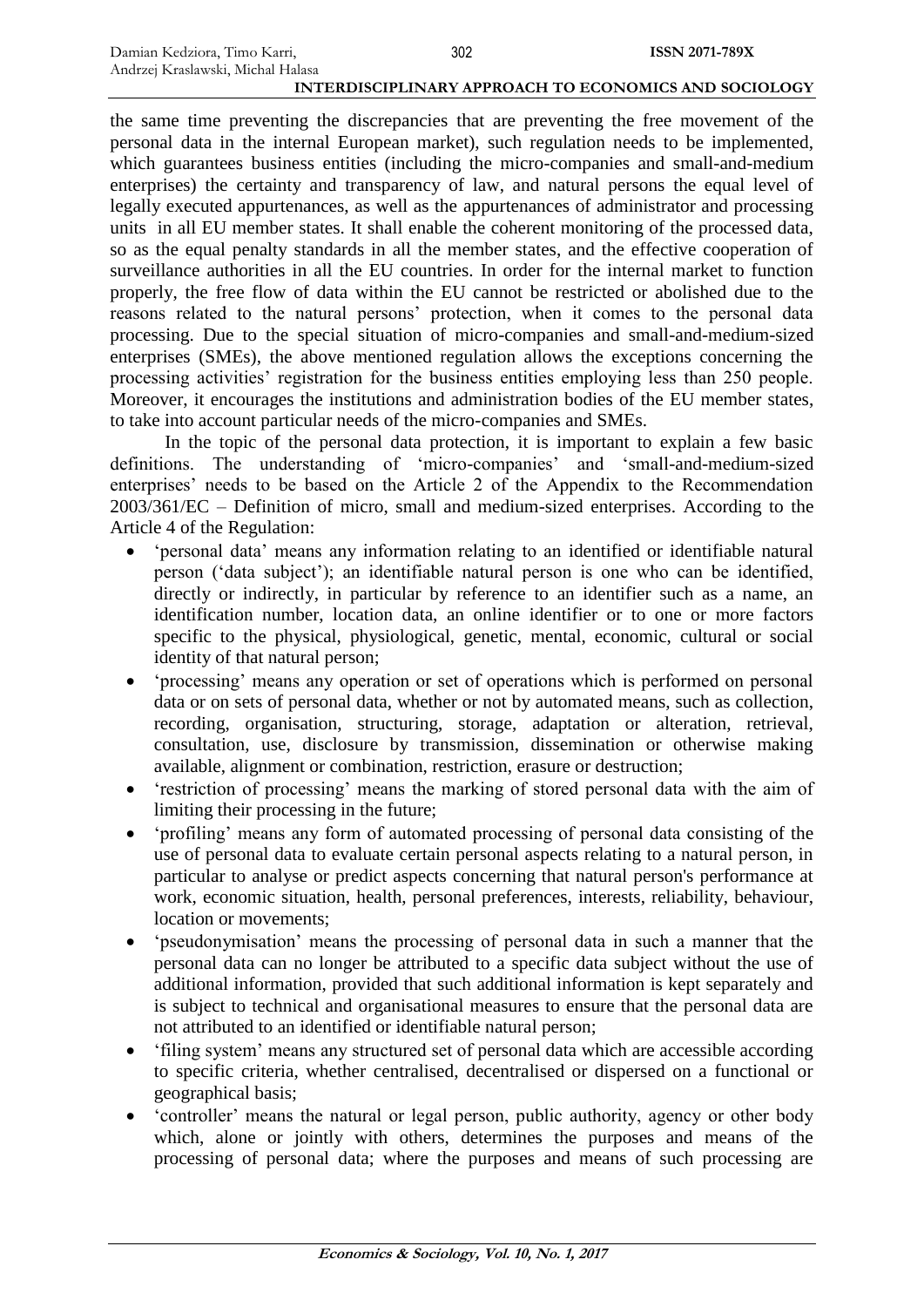the same time preventing the discrepancies that are preventing the free movement of the personal data in the internal European market), such regulation needs to be implemented, which guarantees business entities (including the micro-companies and small-and-medium enterprises) the certainty and transparency of law, and natural persons the equal level of legally executed appurtenances, as well as the [appurtenances](http://pl.bab.la/slownik/angielski-polski/appurtenances) of administrator and processing units in all EU member states. It shall enable the coherent monitoring of the processed data, so as the equal penalty standards in all the member states, and the effective cooperation of surveillance authorities in all the EU countries. In order for the internal market to function properly, the free flow of data within the EU cannot be restricted or abolished due to the reasons related to the natural persons' protection, when it comes to the personal data processing. Due to the special situation of micro-companies and small-and-medium-sized enterprises (SMEs), the above mentioned regulation allows the exceptions concerning the processing activities' registration for the business entities employing less than 250 people. Moreover, it encourages the institutions and administration bodies of the EU member states, to take into account particular needs of the micro-companies and SMEs.

In the topic of the personal data protection, it is important to explain a few basic definitions. The understanding of 'micro-companies' and 'small-and-medium-sized enterprises' needs to be based on the Article 2 of the Appendix to the Recommendation 2003/361/EC – Definition of micro, small and medium-sized enterprises. According to the Article 4 of the Regulation:

- 'personal data' means any information relating to an identified or identifiable natural person ('data subject'); an identifiable natural person is one who can be identified, directly or indirectly, in particular by reference to an identifier such as a name, an identification number, location data, an online identifier or to one or more factors specific to the physical, physiological, genetic, mental, economic, cultural or social identity of that natural person;
- 'processing' means any operation or set of operations which is performed on personal data or on sets of personal data, whether or not by automated means, such as collection, recording, organisation, structuring, storage, adaptation or alteration, retrieval, consultation, use, disclosure by transmission, dissemination or otherwise making available, alignment or combination, restriction, erasure or destruction;
- 'restriction of processing' means the marking of stored personal data with the aim of limiting their processing in the future;
- 'profiling' means any form of automated processing of personal data consisting of the use of personal data to evaluate certain personal aspects relating to a natural person, in particular to analyse or predict aspects concerning that natural person's performance at work, economic situation, health, personal preferences, interests, reliability, behaviour, location or movements;
- 'pseudonymisation' means the processing of personal data in such a manner that the personal data can no longer be attributed to a specific data subject without the use of additional information, provided that such additional information is kept separately and is subject to technical and organisational measures to ensure that the personal data are not attributed to an identified or identifiable natural person;
- 'filing system' means any structured set of personal data which are accessible according to specific criteria, whether centralised, decentralised or dispersed on a functional or geographical basis;
- 'controller' means the natural or legal person, public authority, agency or other body which, alone or jointly with others, determines the purposes and means of the processing of personal data; where the purposes and means of such processing are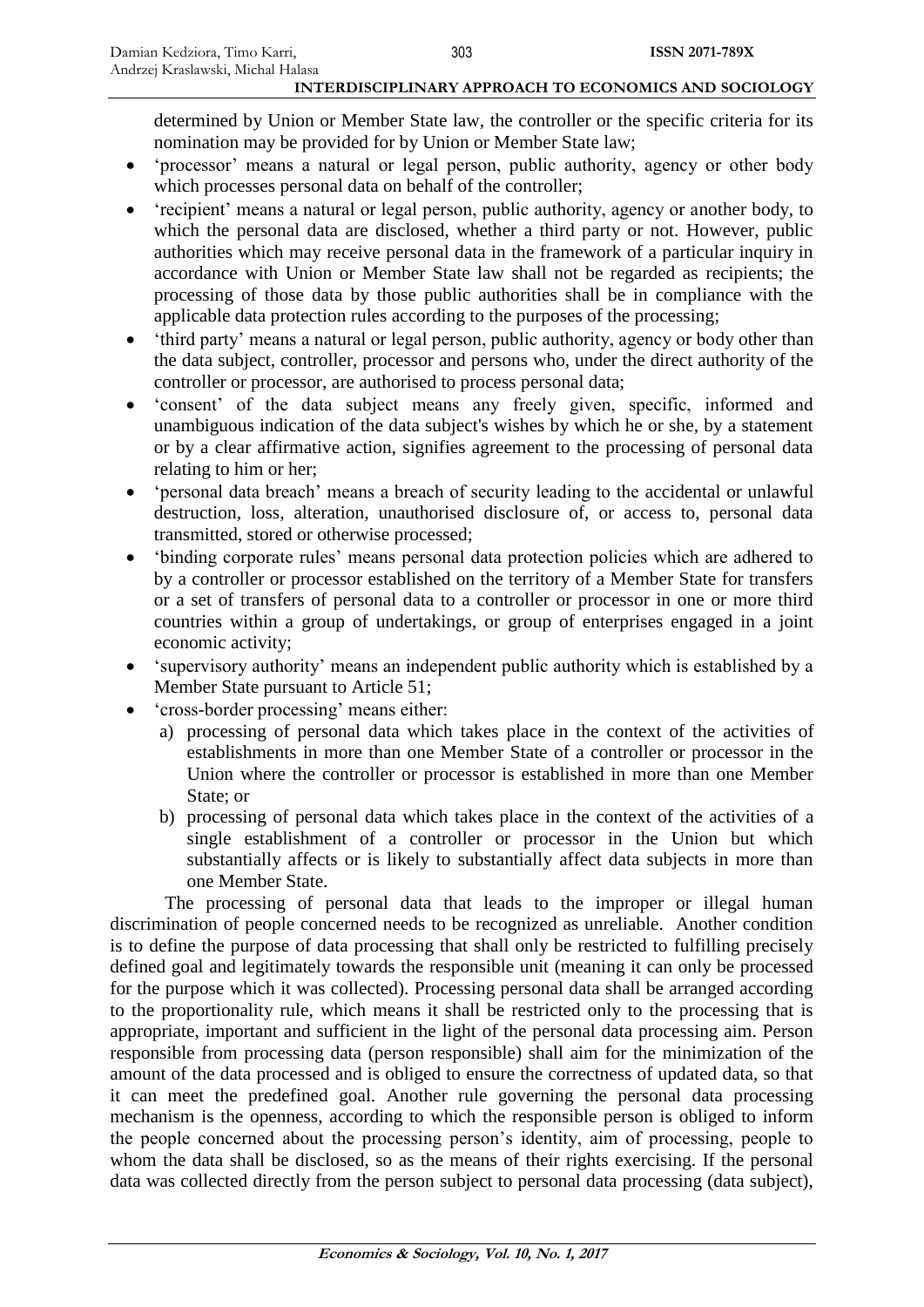determined by Union or Member State law, the controller or the specific criteria for its nomination may be provided for by Union or Member State law;

- 'processor' means a natural or legal person, public authority, agency or other body which processes personal data on behalf of the controller;
- 'recipient' means a natural or legal person, public authority, agency or another body, to which the personal data are disclosed, whether a third party or not. However, public authorities which may receive personal data in the framework of a particular inquiry in accordance with Union or Member State law shall not be regarded as recipients; the processing of those data by those public authorities shall be in compliance with the applicable data protection rules according to the purposes of the processing;
- 'third party' means a natural or legal person, public authority, agency or body other than the data subject, controller, processor and persons who, under the direct authority of the controller or processor, are authorised to process personal data;
- 'consent' of the data subject means any freely given, specific, informed and unambiguous indication of the data subject's wishes by which he or she, by a statement or by a clear affirmative action, signifies agreement to the processing of personal data relating to him or her;
- 'personal data breach' means a breach of security leading to the accidental or unlawful destruction, loss, alteration, unauthorised disclosure of, or access to, personal data transmitted, stored or otherwise processed;
- 'binding corporate rules' means personal data protection policies which are adhered to by a controller or processor established on the territory of a Member State for transfers or a set of transfers of personal data to a controller or processor in one or more third countries within a group of undertakings, or group of enterprises engaged in a joint economic activity;
- 'supervisory authority' means an independent public authority which is established by a Member State pursuant to Article 51;
- 'cross-border processing' means either:
	- a) processing of personal data which takes place in the context of the activities of establishments in more than one Member State of a controller or processor in the Union where the controller or processor is established in more than one Member State; or
	- b) processing of personal data which takes place in the context of the activities of a single establishment of a controller or processor in the Union but which substantially affects or is likely to substantially affect data subjects in more than one Member State.

The processing of personal data that leads to the improper or illegal human discrimination of people concerned needs to be recognized as unreliable. Another condition is to define the purpose of data processing that shall only be restricted to fulfilling precisely defined goal and legitimately towards the responsible unit (meaning it can only be processed for the purpose which it was collected). Processing personal data shall be arranged according to the proportionality rule, which means it shall be restricted only to the processing that is appropriate, important and sufficient in the light of the personal data processing aim. Person responsible from processing data (person responsible) shall aim for the minimization of the amount of the data processed and is obliged to ensure the correctness of updated data, so that it can meet the predefined goal. Another rule governing the personal data processing mechanism is the openness, according to which the responsible person is obliged to inform the people concerned about the processing person's identity, aim of processing, people to whom the data shall be disclosed, so as the means of their rights exercising. If the personal data was collected directly from the person subject to personal data processing (data subject),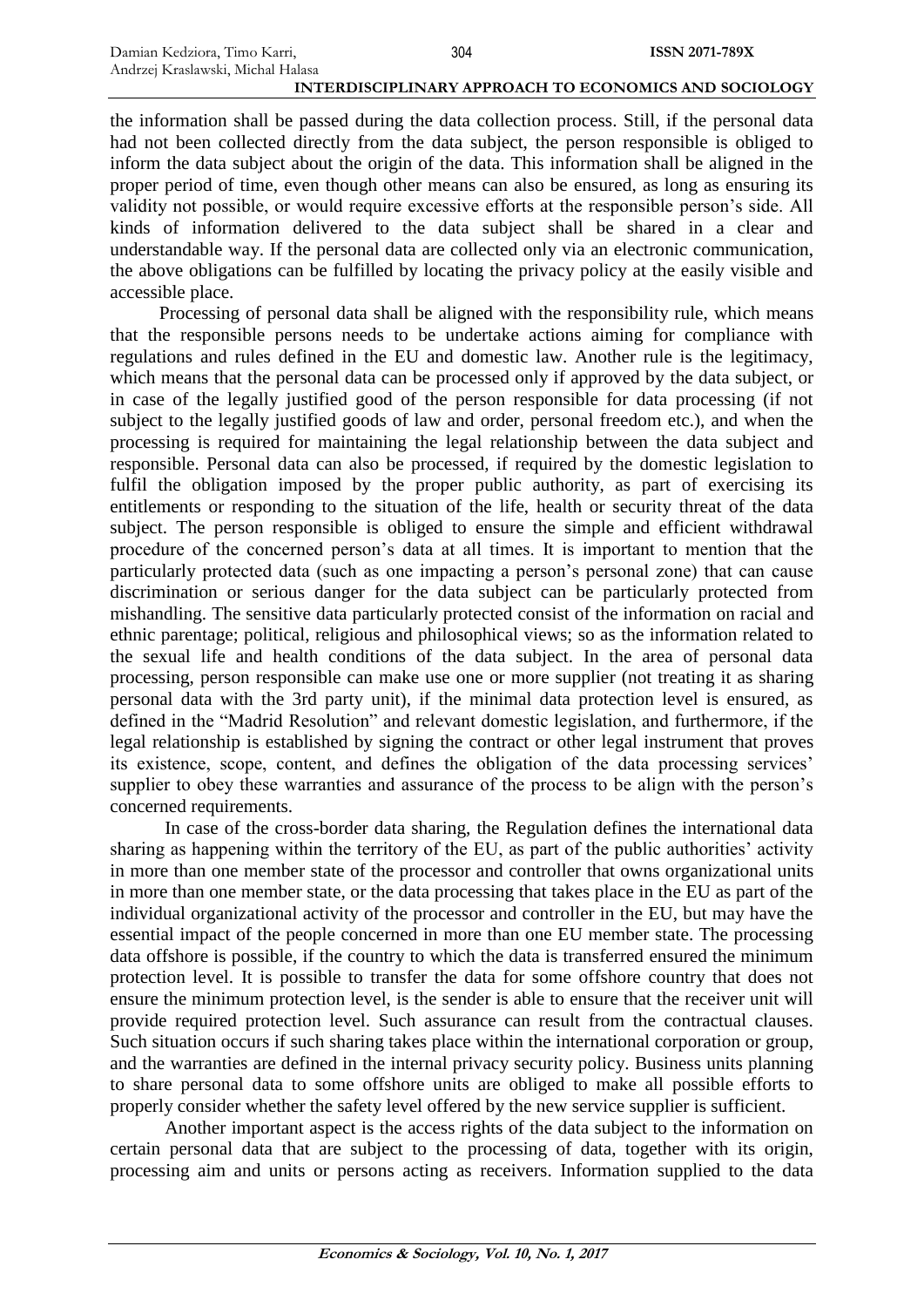the information shall be passed during the data collection process. Still, if the personal data had not been collected directly from the data subject, the person responsible is obliged to inform the data subject about the origin of the data. This information shall be aligned in the proper period of time, even though other means can also be ensured, as long as ensuring its validity not possible, or would require excessive efforts at the responsible person's side. All kinds of information delivered to the data subject shall be shared in a clear and understandable way. If the personal data are collected only via an electronic communication, the above obligations can be fulfilled by locating the privacy policy at the easily visible and accessible place.

Processing of personal data shall be aligned with the responsibility rule, which means that the responsible persons needs to be undertake actions aiming for compliance with regulations and rules defined in the EU and domestic law. Another rule is the legitimacy, which means that the personal data can be processed only if approved by the data subject, or in case of the legally justified good of the person responsible for data processing (if not subject to the legally justified goods of law and order, personal freedom etc.), and when the processing is required for maintaining the legal relationship between the data subject and responsible. Personal data can also be processed, if required by the domestic legislation to fulfil the obligation imposed by the proper public authority, as part of exercising its entitlements or responding to the situation of the life, health or security threat of the data subject. The person responsible is obliged to ensure the simple and efficient withdrawal procedure of the concerned person's data at all times. It is important to mention that the particularly protected data (such as one impacting a person's personal zone) that can cause discrimination or serious danger for the data subject can be particularly protected from mishandling. The sensitive data particularly protected consist of the information on racial and ethnic parentage; political, religious and philosophical views; so as the information related to the sexual life and health conditions of the data subject. In the area of personal data processing, person responsible can make use one or more supplier (not treating it as sharing personal data with the 3rd party unit), if the minimal data protection level is ensured, as defined in the "Madrid Resolution" and relevant domestic legislation, and furthermore, if the legal relationship is established by signing the contract or other legal instrument that proves its existence, scope, content, and defines the obligation of the data processing services' supplier to obey these warranties and assurance of the process to be align with the person's concerned requirements.

In case of the cross-border data sharing, the Regulation defines the international data sharing as happening within the territory of the EU, as part of the public authorities' activity in more than one member state of the processor and controller that owns organizational units in more than one member state, or the data processing that takes place in the EU as part of the individual organizational activity of the processor and controller in the EU, but may have the essential impact of the people concerned in more than one EU member state. The processing data offshore is possible, if the country to which the data is transferred ensured the minimum protection level. It is possible to transfer the data for some offshore country that does not ensure the minimum protection level, is the sender is able to ensure that the receiver unit will provide required protection level. Such assurance can result from the contractual clauses. Such situation occurs if such sharing takes place within the international corporation or group, and the warranties are defined in the internal privacy security policy. Business units planning to share personal data to some offshore units are obliged to make all possible efforts to properly consider whether the safety level offered by the new service supplier is sufficient.

Another important aspect is the access rights of the data subject to the information on certain personal data that are subject to the processing of data, together with its origin, processing aim and units or persons acting as receivers. Information supplied to the data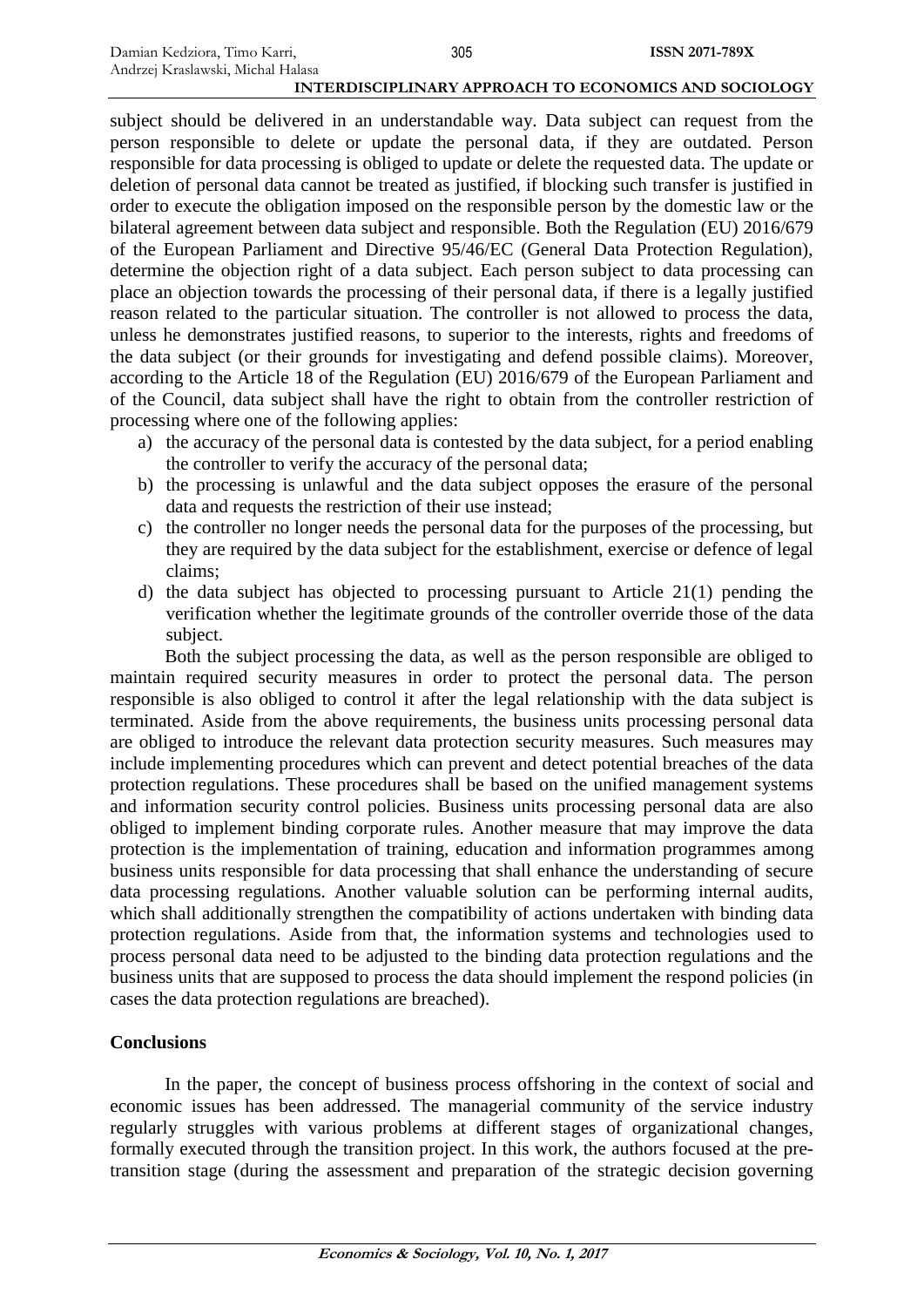subject should be delivered in an understandable way. Data subject can request from the person responsible to delete or update the personal data, if they are outdated. Person responsible for data processing is obliged to update or delete the requested data. The update or deletion of personal data cannot be treated as justified, if blocking such transfer is justified in order to execute the obligation imposed on the responsible person by the domestic law or the bilateral agreement between data subject and responsible. Both the Regulation (EU) 2016/679 of the European Parliament and Directive 95/46/EC (General Data Protection Regulation), determine the objection right of a data subject. Each person subject to data processing can place an objection towards the processing of their personal data, if there is a legally justified reason related to the particular situation. The controller is not allowed to process the data, unless he demonstrates justified reasons, to superior to the interests, rights and freedoms of the data subject (or their grounds for investigating and defend possible claims). Moreover, according to the Article 18 of the Regulation (EU) 2016/679 of the European Parliament and of the Council, data subject shall have the right to obtain from the controller restriction of processing where one of the following applies:

- a) the accuracy of the personal data is contested by the data subject, for a period enabling the controller to verify the accuracy of the personal data;
- b) the processing is unlawful and the data subject opposes the erasure of the personal data and requests the restriction of their use instead;
- c) the controller no longer needs the personal data for the purposes of the processing, but they are required by the data subject for the establishment, exercise or defence of legal claims;
- d) the data subject has objected to processing pursuant to Article 21(1) pending the verification whether the legitimate grounds of the controller override those of the data subject.

Both the subject processing the data, as well as the person responsible are obliged to maintain required security measures in order to protect the personal data. The person responsible is also obliged to control it after the legal relationship with the data subject is terminated. Aside from the above requirements, the business units processing personal data are obliged to introduce the relevant data protection security measures. Such measures may include implementing procedures which can prevent and detect potential breaches of the data protection regulations. These procedures shall be based on the unified management systems and information security control policies. Business units processing personal data are also obliged to implement binding corporate rules. Another measure that may improve the data protection is the implementation of training, education and information programmes among business units responsible for data processing that shall enhance the understanding of secure data processing regulations. Another valuable solution can be performing internal audits, which shall additionally strengthen the compatibility of actions undertaken with binding data protection regulations. Aside from that, the information systems and technologies used to process personal data need to be adjusted to the binding data protection regulations and the business units that are supposed to process the data should implement the respond policies (in cases the data protection regulations are breached).

# **Conclusions**

In the paper, the concept of business process offshoring in the context of social and economic issues has been addressed. The managerial community of the service industry regularly struggles with various problems at different stages of organizational changes, formally executed through the transition project. In this work, the authors focused at the pretransition stage (during the assessment and preparation of the strategic decision governing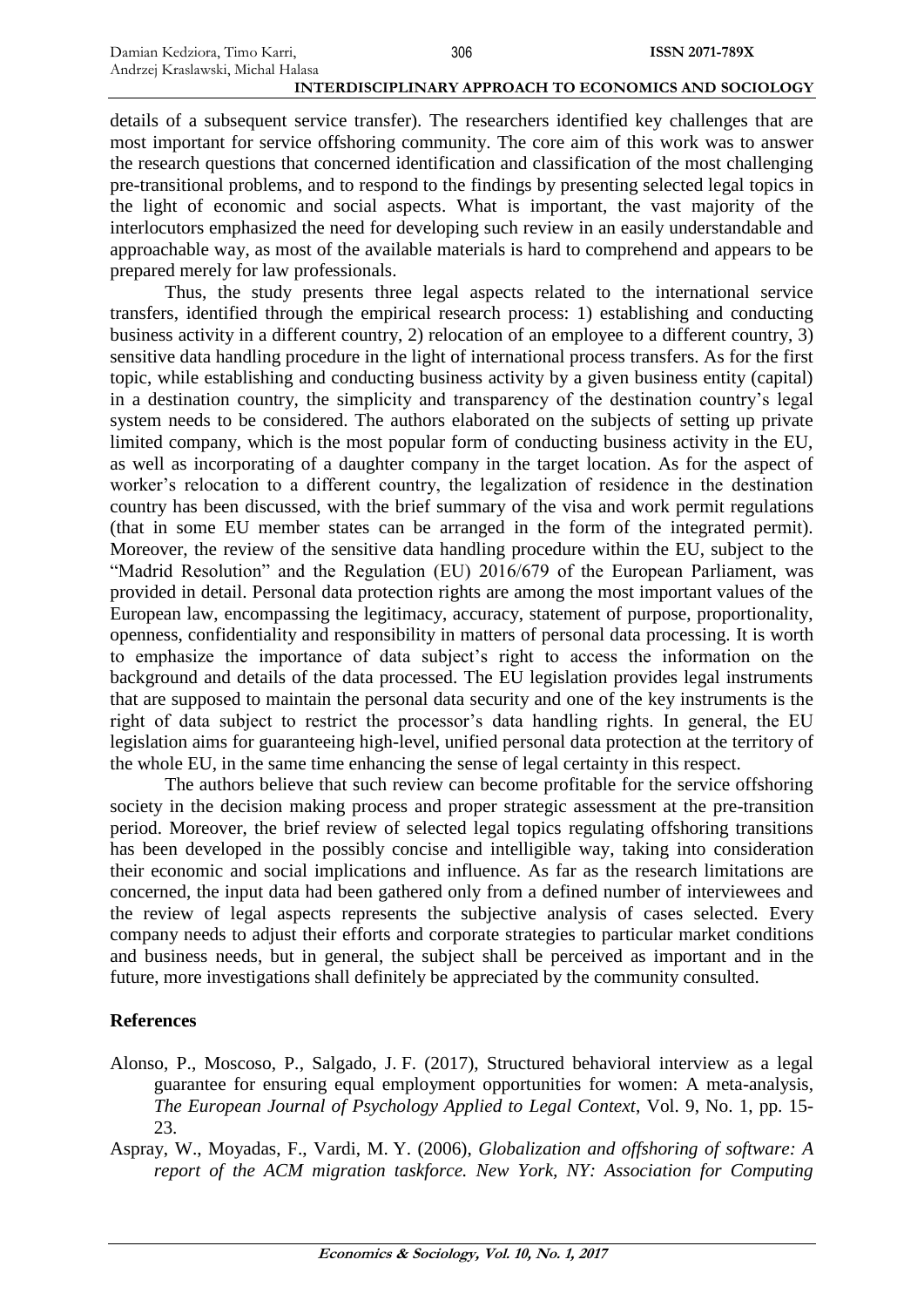details of a subsequent service transfer). The researchers identified key challenges that are most important for service offshoring community. The core aim of this work was to answer the research questions that concerned identification and classification of the most challenging pre-transitional problems, and to respond to the findings by presenting selected legal topics in the light of economic and social aspects. What is important, the vast majority of the interlocutors emphasized the need for developing such review in an easily understandable and approachable way, as most of the available materials is hard to comprehend and appears to be prepared merely for law professionals.

Thus, the study presents three legal aspects related to the international service transfers, identified through the empirical research process: 1) establishing and conducting business activity in a different country, 2) relocation of an employee to a different country, 3) sensitive data handling procedure in the light of international process transfers. As for the first topic, while establishing and conducting business activity by a given business entity (capital) in a destination country, the simplicity and transparency of the destination country's legal system needs to be considered. The authors elaborated on the subjects of setting up private limited company, which is the most popular form of conducting business activity in the EU, as well as incorporating of a daughter company in the target location. As for the aspect of worker's relocation to a different country, the legalization of residence in the destination country has been discussed, with the brief summary of the visa and work permit regulations (that in some EU member states can be arranged in the form of the integrated permit). Moreover, the review of the sensitive data handling procedure within the EU, subject to the "Madrid Resolution" and the Regulation (EU) 2016/679 of the European Parliament, was provided in detail. Personal data protection rights are among the most important values of the European law, encompassing the legitimacy, accuracy, statement of purpose, proportionality, openness, confidentiality and responsibility in matters of personal data processing. It is worth to emphasize the importance of data subject's right to access the information on the background and details of the data processed. The EU legislation provides legal instruments that are supposed to maintain the personal data security and one of the key instruments is the right of data subject to restrict the processor's data handling rights. In general, the EU legislation aims for guaranteeing high-level, unified personal data protection at the territory of the whole EU, in the same time enhancing the sense of legal certainty in this respect.

The authors believe that such review can become profitable for the service offshoring society in the decision making process and proper strategic assessment at the pre-transition period. Moreover, the brief review of selected legal topics regulating offshoring transitions has been developed in the possibly concise and intelligible way, taking into consideration their economic and social implications and influence. As far as the research limitations are concerned, the input data had been gathered only from a defined number of interviewees and the review of legal aspects represents the subjective analysis of cases selected. Every company needs to adjust their efforts and corporate strategies to particular market conditions and business needs, but in general, the subject shall be perceived as important and in the future, more investigations shall definitely be appreciated by the community consulted.

# **References**

- Alonso, P., Moscoso, P., Salgado, J. F. (2017), Structured behavioral interview as a legal guarantee for ensuring equal employment opportunities for women: A meta-analysis, *The European Journal of Psychology Applied to Legal Context*, Vol. 9, No. 1, pp. 15- 23.
- Aspray, W., Moyadas, F., Vardi, M. Y. (2006), *Globalization and offshoring of software: A report of the ACM migration taskforce. New York, NY: Association for Computing*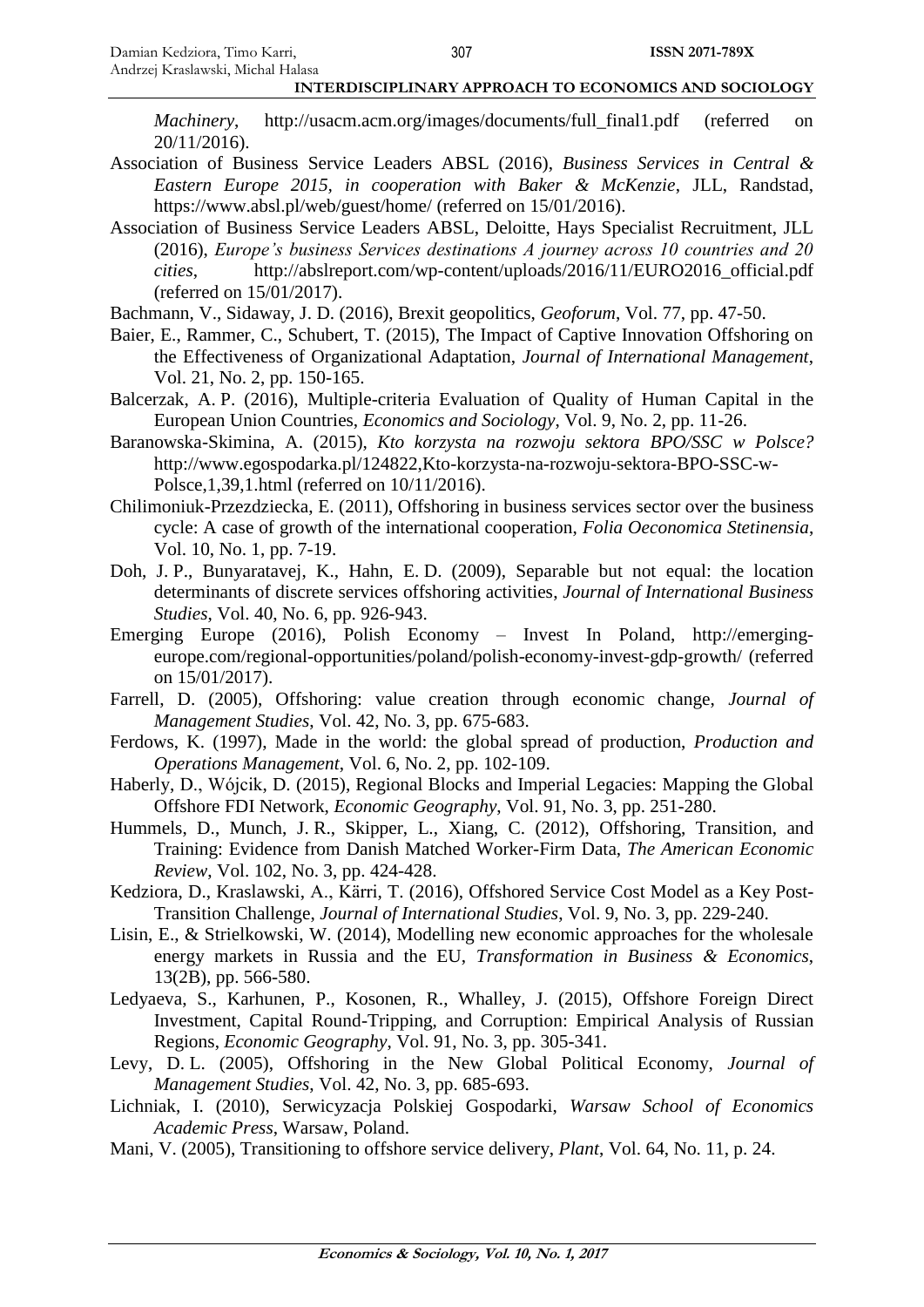*Machinery*, http://usacm.acm.org/images/documents/full\_final1.pdf (referred on 20/11/2016).

- Association of Business Service Leaders ABSL (2016), *Business Services in Central & Eastern Europe 2015, in cooperation with Baker & McKenzie*, JLL, Randstad, https://www.absl.pl/web/guest/home/ (referred on 15/01/2016).
- Association of Business Service Leaders ABSL, Deloitte, Hays Specialist Recruitment, JLL (2016), *Europe's business Services destinations A journey across 10 countries and 20 cities*, http://abslreport.com/wp-content/uploads/2016/11/EURO2016\_official.pdf (referred on 15/01/2017).
- Bachmann, V., Sidaway, J. D. (2016), Brexit geopolitics, *Geoforum*, Vol. 77, pp. 47-50.
- Baier, E., Rammer, C., Schubert, T. (2015), The Impact of Captive Innovation Offshoring on the Effectiveness of Organizational Adaptation, *Journal of International Management*, Vol. 21, No. 2, pp. 150-165.
- Balcerzak, A. P. (2016), Multiple-criteria Evaluation of Quality of Human Capital in the European Union Countries, *Economics and Sociology*, Vol. 9, No. 2, pp. 11-26.
- Baranowska-Skimina, A. (2015), *Kto korzysta na rozwoju sektora BPO/SSC w Polsce?* http://www.egospodarka.pl/124822,Kto-korzysta-na-rozwoju-sektora-BPO-SSC-w-Polsce,1,39,1.html (referred on 10/11/2016).
- Chilimoniuk-Przezdziecka, E. (2011), Offshoring in business services sector over the business cycle: A case of growth of the international cooperation, *Folia Oeconomica Stetinensia*, Vol. 10, No. 1, pp. 7-19.
- Doh, J. P., Bunyaratavej, K., Hahn, E. D. (2009), Separable but not equal: the location determinants of discrete services offshoring activities, *Journal of International Business Studies*, Vol. 40, No. 6, pp. 926-943.
- Emerging Europe (2016), Polish Economy Invest In Poland, http://emergingeurope.com/regional-opportunities/poland/polish-economy-invest-gdp-growth/ (referred on 15/01/2017).
- Farrell, D. (2005), Offshoring: value creation through economic change, *Journal of Management Studies*, Vol. 42, No. 3, pp. 675-683.
- Ferdows, K. (1997), Made in the world: the global spread of production, *Production and Operations Management*, Vol. 6, No. 2, pp. 102-109.
- Haberly, D., Wójcik, D. (2015), Regional Blocks and Imperial Legacies: Mapping the Global Offshore FDI Network, *Economic Geography*, Vol. 91, No. 3, pp. 251-280.
- Hummels, D., Munch, J. R., Skipper, L., Xiang, C. (2012), Offshoring, Transition, and Training: Evidence from Danish Matched Worker-Firm Data, *The American Economic Review*, Vol. 102, No. 3, pp. 424-428.
- Kedziora, D., Kraslawski, A., Kärri, T. (2016), Offshored Service Cost Model as a Key Post-Transition Challenge, *Journal of International Studies*, Vol. 9, No. 3, pp. 229-240.
- Lisin, E., & Strielkowski, W. (2014), Modelling new economic approaches for the wholesale energy markets in Russia and the EU, *Transformation in Business & Economics*, 13(2B), pp. 566-580.
- Ledyaeva, S., Karhunen, P., Kosonen, R., Whalley, J. (2015), Offshore Foreign Direct Investment, Capital Round-Tripping, and Corruption: Empirical Analysis of Russian Regions, *Economic Geography*, Vol. 91, No. 3, pp. 305-341.
- Levy, D. L. (2005), Offshoring in the New Global Political Economy, *Journal of Management Studies*, Vol. 42, No. 3, pp. 685-693.
- Lichniak, I. (2010), Serwicyzacja Polskiej Gospodarki, *Warsaw School of Economics Academic Press*, Warsaw, Poland.
- Mani, V. (2005), Transitioning to offshore service delivery, *Plant*, Vol. 64, No. 11, p. 24.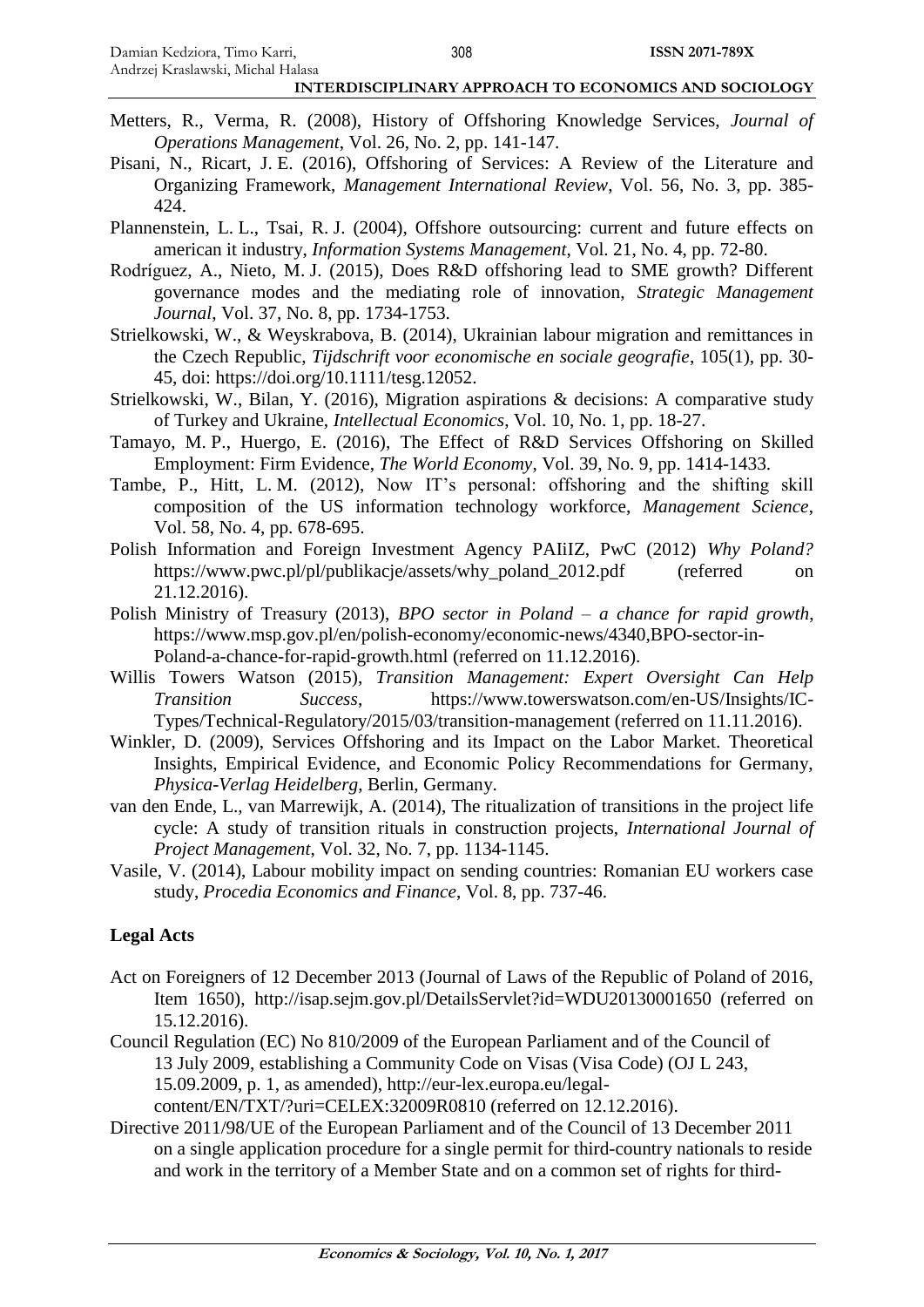- Metters, R., Verma, R. (2008), History of Offshoring Knowledge Services, *Journal of Operations Management*, Vol. 26, No. 2, pp. 141-147.
- Pisani, N., Ricart, J. E. (2016), Offshoring of Services: A Review of the Literature and Organizing Framework, *Management International Review*, Vol. 56, No. 3, pp. 385- 424.
- Plannenstein, L. L., Tsai, R. J. (2004), Offshore outsourcing: current and future effects on american it industry, *Information Systems Management*, Vol. 21, No. 4, pp. 72-80.
- Rodríguez, A., Nieto, M. J. (2015), Does R&D offshoring lead to SME growth? Different governance modes and the mediating role of innovation, *Strategic Management Journal*, Vol. 37, No. 8, pp. 1734-1753.
- Strielkowski, W., & Weyskrabova, B. (2014), Ukrainian labour migration and remittances in the Czech Republic, *Tijdschrift voor economische en sociale geografie*, 105(1), pp. 30- 45, doi: https://doi.org/10.1111/tesg.12052.
- Strielkowski, W., Bilan, Y. (2016), Migration aspirations & decisions: A comparative study of Turkey and Ukraine, *Intellectual Economics*, Vol. 10, No. 1, pp. 18-27.
- Tamayo, M. P., Huergo, E. (2016), The Effect of R&D Services Offshoring on Skilled Employment: Firm Evidence, *The World Economy*, Vol. 39, No. 9, pp. 1414-1433.
- Tambe, P., Hitt, L. M. (2012), Now IT's personal: offshoring and the shifting skill composition of the US information technology workforce, *Management Science*, Vol. 58, No. 4, pp. 678-695.
- Polish Information and Foreign Investment Agency PAIiIZ, PwC (2012) *Why Poland?* https://www.pwc.pl/pl/publikacje/assets/why\_poland\_2012.pdf (referred on 21.12.2016).
- Polish Ministry of Treasury (2013), *BPO sector in Poland – a chance for rapid growth*, https://www.msp.gov.pl/en/polish-economy/economic-news/4340,BPO-sector-in-Poland-a-chance-for-rapid-growth.html (referred on 11.12.2016).
- Willis Towers Watson (2015), *Transition Management: Expert Oversight Can Help Transition Success*, https://www.towerswatson.com/en-US/Insights/IC-Types/Technical-Regulatory/2015/03/transition-management (referred on 11.11.2016).
- Winkler, D. (2009), Services Offshoring and its Impact on the Labor Market. Theoretical Insights, Empirical Evidence, and Economic Policy Recommendations for Germany, *Physica-Verlag Heidelberg*, Berlin, Germany.
- van den Ende, L., van Marrewijk, A. (2014), The ritualization of transitions in the project life cycle: A study of transition rituals in construction projects, *International Journal of Project Management*, Vol. 32, No. 7, pp. 1134-1145.
- Vasile, V. (2014), Labour mobility impact on sending countries: Romanian EU workers case study, *Procedia Economics and Finance*, Vol. 8, pp. 737-46.

### **Legal Acts**

- Act on Foreigners of 12 December 2013 (Journal of Laws of the Republic of Poland of 2016, Item 1650), http://isap.sejm.gov.pl/DetailsServlet?id=WDU20130001650 (referred on 15.12.2016).
- Council Regulation (EC) No 810/2009 of the European Parliament and of the Council of 13 July 2009, establishing a Community Code on Visas (Visa Code) (OJ L 243, 15.09.2009, p. 1, as amended), http://eur-lex.europa.eu/legalcontent/EN/TXT/?uri=CELEX:32009R0810 (referred on 12.12.2016).
- Directive 2011/98/UE of the European Parliament and of the Council of 13 December 2011 on a single application procedure for a single permit for third-country nationals to reside and work in the territory of a Member State and on a common set of rights for third-